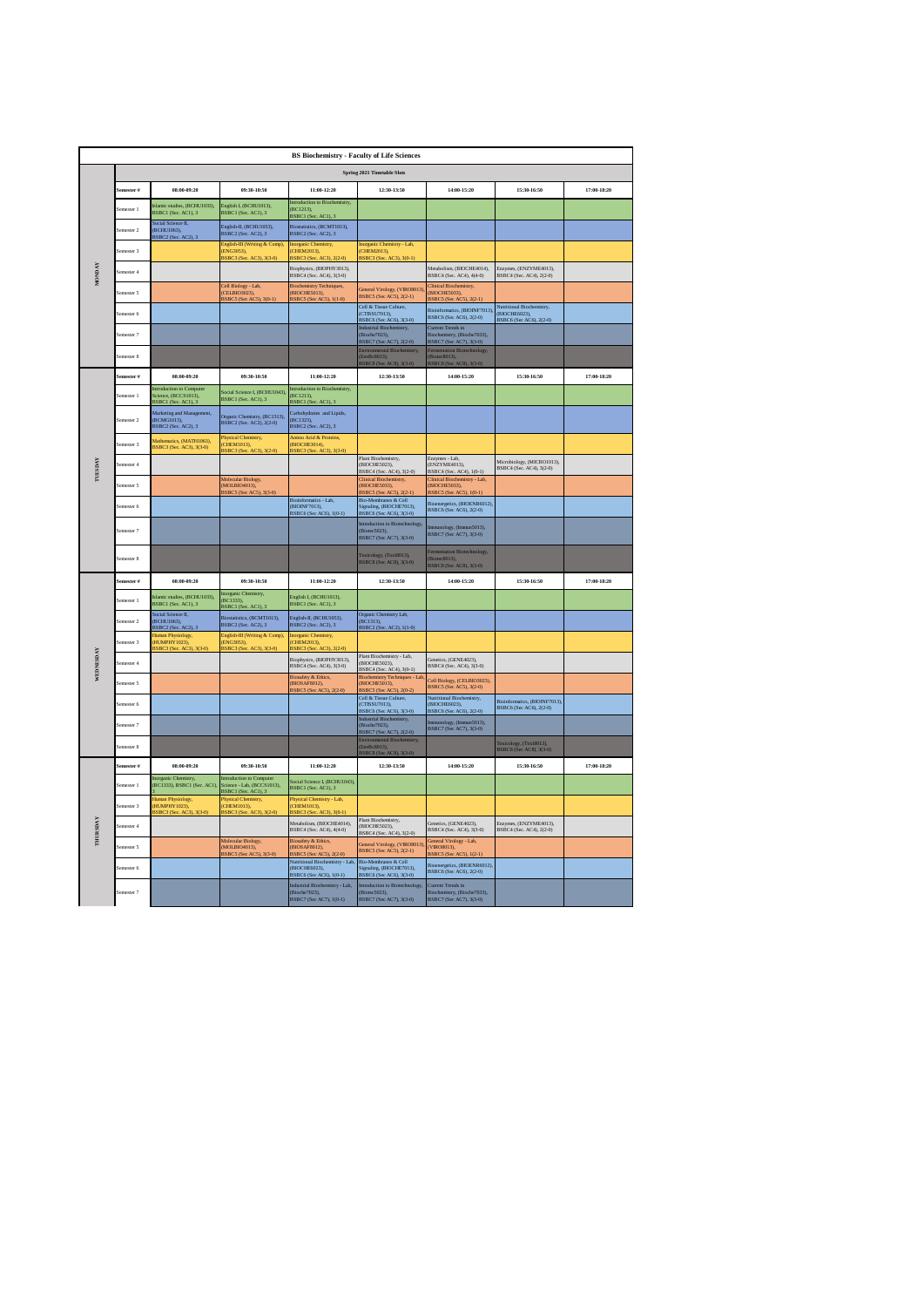|                 |            |                                                                        |                                                                        | <b>BS Biochemistry - Faculty of Life Sciences</b>                            |                                                                                        |                                                                                            |                                                                       |             |
|-----------------|------------|------------------------------------------------------------------------|------------------------------------------------------------------------|------------------------------------------------------------------------------|----------------------------------------------------------------------------------------|--------------------------------------------------------------------------------------------|-----------------------------------------------------------------------|-------------|
|                 |            |                                                                        |                                                                        |                                                                              | Spring 2021 Timetable Slots                                                            |                                                                                            |                                                                       |             |
|                 | mester #   | 08:00-09:20                                                            | 09:30-10:50                                                            | 11:00.12:20                                                                  | 12:30-13:50                                                                            | 14:00-15:20                                                                                | 15:30-16:50                                                           | 17:00.18:20 |
|                 | mester 1   | slamic studies, (BCHU1033),<br>BSBC1 (Sec. AC1), 3                     | English I, (BCHU1013),<br>BSBC1 (Sec. AC1), 3                          | Introduction to Biochemistry,<br>(BC1213).<br>BSBC1 (Sec. AC1), 3            |                                                                                        |                                                                                            |                                                                       |             |
|                 | emester 2  | Social Science II<br>(BCHU1063),<br>BSBC2 (Sec. AC2), 3                | English-II, (BCHU1053),<br>BSBC2 (Sec. AC2), 3                         | Biostatistics, (BCMT1013),<br>BSBC2 (Sec. AC2), 3                            |                                                                                        |                                                                                            |                                                                       |             |
|                 | mester 3   |                                                                        | English-III (Writing & Comp),<br>ENG3053).<br>BSBC3 (Sec. AC3), 3(3-0) | Inorganic Chemistry,<br>(CHEM2013).<br>BSBC3 (Sec. AC3), 2(2-0)              | nic Chemistry - Lab,<br>CHEM2013).<br>3SBC3 (Sec. AC3), 3(0-1)                         |                                                                                            |                                                                       |             |
| <b>MONDAY</b>   | mester 4   |                                                                        |                                                                        | Biophysics, (BIOPHY3013).<br>BSBC4 (Sec. AC4), 3(3-0)                        |                                                                                        | Metabolism, (BIOCHE4014).<br>BSBC4 (Sec. AC4), 4(4-0)                                      | Enzymes, (ENZYME4013).<br>BSBC4 (Sec. AC4), 2(2-0)                    |             |
|                 | mester 5   |                                                                        | Cell Biology - Lab,<br>CELBIO3023).<br>BSBC5 (Sec AC5), 3(0-1)         | <b>Biochemistry Techniques</b> ,<br>(BIOCHE5013).<br>BSBC5 (Sec AC5), 1(1-0) | General Virology, (VIRO8013)<br>BSBC5 (Sec AC5), 2(2-1)                                | <b>Clinical Biochemistry</b> ,<br><b>BIOCHES033)</b><br>BSBC5 (Sec AC5), 2(2-1)            |                                                                       |             |
|                 | mester 6   |                                                                        |                                                                        |                                                                              | Cell & Tissue Culture.<br>CTISSU7013),<br>BSBC6 (Sec AC6), 3(3-0)                      | Bioinformatics, (BIOINF7013),<br>BSBC6 (Sec AC6), 2(2-0)                                   | Nutritional Biochemistry,<br>(BIOCHE6023),<br>BSBC6 (Sec AC6), 2(2-0) |             |
|                 | emester 7  |                                                                        |                                                                        |                                                                              | Industrial Biochemistry,<br>Bioche7023).<br>3SBC7 (Sec AC7), 2(2-0)                    | <b>Current Trends in</b><br>Biochemistry, (Bioche7033),<br>BSBC7 (Sec AC7), 3(3-0)         |                                                                       |             |
|                 | nester 8   |                                                                        |                                                                        |                                                                              | Environmental Biochemistry,<br>EnvBc8013),<br>BSBC8 (Sec AC8), 3(3-0)                  | ermentation Biotechnology<br>Biotec8013),<br>BSBC8 (Sec AC8), 3(3-0)                       |                                                                       |             |
|                 | emester #  | 08:00-09:20                                                            | 09:30-10:50                                                            | 11:00-12:20                                                                  | 12:30-13:50                                                                            | 14:00-15:20                                                                                | 15:30-16:50                                                           | 17:00-18:20 |
|                 | mester 1   | Introduction to Com<br>ice, (BCCS1013),<br>BSBC1 (Sec. AC1), 3         | ocial Science I, (BCHU1043)<br>BSBC1 (Sec. AC1), 3                     | duction to Biochemistry<br>(BC1213).<br>BSBC1 (Sec. AC1), 3                  |                                                                                        |                                                                                            |                                                                       |             |
|                 | emester 2  | Marketing and Management,<br>(BCMG1013).<br><b>BSBC2</b> (Sec. AC2), 3 | Organic Chemistry, (BC1313),<br>BSBC2 (Sec. AC2), 2(2-0)               | Carbohydrates and Lipids,<br>(BC1323)<br><b>BSBC2</b> (Sec. AC2), 3          |                                                                                        |                                                                                            |                                                                       |             |
|                 | emester 3  | Mathematics, (MATH1063),<br>BSBC3 (Sec. AC3), 3(3-0)                   | Physical Chemistry,<br>CHEM1013),<br>3SBC3 (Sec. AC3), 3(2-0)          | Amino Acid & Proteins,<br>(BIOCHE3014),<br>BSBC3 (Sec. AC3)                  |                                                                                        |                                                                                            |                                                                       |             |
| <b>TUESDAY</b>  | emester 4  |                                                                        |                                                                        |                                                                              | Plant Biochemistry,<br>(BIOCHE5023).<br>BSBC4 (Sec. AC4), 3(2-0)                       | Enzymes - Lab.<br>(ENZYME4013).<br>BSBC4 (Sec. AC4), 1(0-1)                                | Microbiology, (MICRO1013),<br>BSBC4 (Sec. AC4), 3(2-0)                |             |
|                 | emester 5  |                                                                        | Moli<br>ular Biology,<br>MOLBIO4013).<br>3SBC5 (Sec AC5), 3(3-0)       |                                                                              | <b>Clinical Biochemistry</b> ,<br>(BIOCHE5033).<br>BSBC5 (Sec AC5), 2(2-1)             | Clinical Biochemistry - Lab,<br><b>BIOCHE5033).</b><br>BSBC5 (Sec AC5), 1(0-1)             |                                                                       |             |
|                 | mester 6   |                                                                        |                                                                        | matics - Lab.<br>(BIOINE7013)<br>BSBC6 (Sec AC6), 1(0-1)                     | <b>Bio-Membranes &amp; Cell</b><br>Signaling, (BIOCHE7013).<br>BSBC6 (Sec AC6), 3(3-0) | Bioenergetics, (BIOENR6012).<br><b>BSBC6</b> (Sec AC6), 2(2-0)                             |                                                                       |             |
|                 | emester 7  |                                                                        |                                                                        |                                                                              | Introduction to Biotechnology<br>(Biotec5023),<br>BSBC7 (Sec AC7), 3(3-0)              | ology, (Immun5013),<br>BSBC7 (Sec AC7), 3(3-0)                                             |                                                                       |             |
|                 | emester 8  |                                                                        |                                                                        |                                                                              | Toxicology, (Toxi8013),<br>BSBC8 (Sec AC8), 3(3-0)                                     | <sup>c</sup> ermentation Biotechnology,<br>(Biotec8013),<br><b>BSBC8</b> (Sec AC8), 3(3-0) |                                                                       |             |
|                 | ester #    | 08:00-09:20                                                            | 09:30-10:50                                                            | 11:00-12:20                                                                  | 12:30-13:50                                                                            | 14:00-15:20                                                                                | 15:30-16:50                                                           | 17:00-18:20 |
|                 | emester 1  | slamic studies, (BCHU1033),<br>BSBC1 (Sec. AC1), 3                     | inorganic Chemistry,<br>BC1333).<br>BSBC1 (Sec. AC1), 3                | English I, (BCHU1013),<br>BSBC1 (Sec. AC1), 3                                |                                                                                        |                                                                                            |                                                                       |             |
|                 | emester 2  | <b>Social Science IL</b><br>(BCHU1063).<br>BSBC2 (Sec. AC2), 3         | Biostatistics, (BCMT1013),<br>BSBC2 (Sec. AC2), 3                      | English-II, (BCHU1053),<br><b>BSBC2</b> (Sec. AC2), 3                        | Organic Chemistry Lab,<br>(BC1313).<br>BSBC2 (Sec. AC2), 1(1-0)                        |                                                                                            |                                                                       |             |
|                 | emester 3  | luman Physiology,<br>(HUMPHY 1023).<br>BSBC3 (Sec. AC3), 3(3-0)        | English-III (Writing & Comp),<br>ENG3053),<br>BSBC3 (Sec. AC3), 3(3-0) | norganic Chemistry,<br>(CHEM2013),<br>BSBC3 (Sec. AC3), 2(2-0)               |                                                                                        |                                                                                            |                                                                       |             |
| WEDNESDAY       | emester 4  |                                                                        |                                                                        | Biophysics, (BIOPHY3013),<br>BSBC4 (Sec. AC4), 3(3-0)                        | Plant Biochemistry - Lab,<br>(BIOCHE5023),<br>BSBC4 (Sec. AC4), 3(0-1)                 | Genetics (GENE4023)<br>BSBC4 (Sec. AC4), 3(3-0)                                            |                                                                       |             |
|                 | emester 5  |                                                                        |                                                                        | <b>Biosafety &amp; Ethics</b><br>(BIOSAF8012),<br>BSBC5 (Sec AC5),           | <b>Biochemistry Techniques - Lab</b><br>BIOCHE5013),<br>BSBC5 (Sec AC5), 2(0-2)        | Cell Biology, (CELBIO3023),<br>BSBC5 (Sec AC5), 3(2-0)                                     |                                                                       |             |
|                 | emester 6  |                                                                        |                                                                        |                                                                              | Cell & Tissue Culture,<br>(CTISSU7013),<br>BSBC6 (Sec AC6), 3(3-0)                     | Nutritional Biochemistry,<br>(BIOCHE6023),<br>BSBC6 (Sec AC6), 2(2-0)                      | Bioinformatics, (BIOINF7013).<br>BSBC6 (Sec AC6), 2(2-0)              |             |
|                 | emester 7  |                                                                        |                                                                        |                                                                              | Industrial Biochemistry,<br>(Bioche7023),<br>BSBC7 (Sec AC7), 2(2-0)                   | ology, (Immun5013),<br>BSBC7 (Sec AC7), 3(3-0)                                             |                                                                       |             |
|                 | mester 8   |                                                                        |                                                                        |                                                                              | ntal Biochemistry,<br>EnvBc8013).<br>BSBC8 (Sec AC8), 3(3-0)                           |                                                                                            | Toxicology, (Toxi8013),<br>BSBC8 (Sec AC8), 3(3-0)                    |             |
|                 | Semester # | 08:00-09:20                                                            | 09:30-10:50                                                            | 11:00-12:20                                                                  | 12:30-13:50                                                                            | 14:00-15:20                                                                                | 15:30-16:50                                                           | 17:00-18:20 |
|                 | emester 1  | (BC1333), BSBC1 (Sec. AC1)                                             | stroduction to Co<br>Science - Lab, (BCCS1013),<br>BSBC1 (Sec. AC1), 3 | Social Science I, (BCHU1043).<br>BSBC1 (Sec. AC1), 3                         |                                                                                        |                                                                                            |                                                                       |             |
|                 | emester 3  | Human Physiology,<br>HUMPHY 1023),<br>3SBC3 (Sec. AC3), 3(3-0)         | Physical Chemistry,<br>(CHEM1013),<br>BSBC3 (Sec. AC3), 3(2-0)         | Physical Chemistry - Lab,<br>(CHEM1013),<br>BSBC3 (Sec. AC3), 3(0-1)         |                                                                                        |                                                                                            |                                                                       |             |
| <b>THURSDAY</b> | mester 4   |                                                                        |                                                                        | Metabolism, (BIOCHE4014),<br>BSBC4 (Sec. AC4), 4(4-0)                        | Plant Biochemistry,<br>(BIOCHE5023),<br>BSBC4 (Sec. AC4), 3(2-0)                       | Genetics (GENE4023)<br>BSBC4 (Sec. AC4), 3(3-0)                                            | <b>Enzymes (ENZYME4013)</b><br>BSBC4 (Sec. AC4), 2(2-0)               |             |
|                 | Semester 5 |                                                                        | Molecular Biology,<br>MOLBIO4013),<br>3SBC5 (Sec AC5), 3(3-0)          | <b>Biosafety &amp; Ethics</b> ,<br>(BIOSAF8012),<br>BSBC5 (Sec AC5), 2(2-0)  | General Virology, (VIRO8013)<br>BSBC5 (Sec AC5), 2(2-1)                                | General Virology - Lab,<br>(VIROS013),<br>BSBC5 (Sec AC5),<br>$1(2-1)$                     |                                                                       |             |
|                 | emester 6  |                                                                        |                                                                        | Nutritional Biochemistry - Lab,<br>(BIOCHE6023).<br>BSBC6 (Sec AC6), 1(0-1)  | Bio-Membranes & Cell<br>Signaling, (BIOCHE7013),<br>BSBC6 (Sec AC6), 3(3-0)            | ergetics, (BIOENR6012),<br>BSBC6 (Sec AC6), 2(2-0)                                         |                                                                       |             |
|                 | Semester 7 |                                                                        |                                                                        | Industrial Biochemistry - Lab,<br>(Bioche7023),<br>BSBC7 (Sec AC7), 1(0-1)   | Introduction to Biotechnology,<br>(Biotec5023),<br>BSBC7 (Sec AC7), 3(3-0)             | Current Trends in<br>Biochemistry, (Bioche7033),<br>BSBC7 (Sec AC7), 3(3-0)                |                                                                       |             |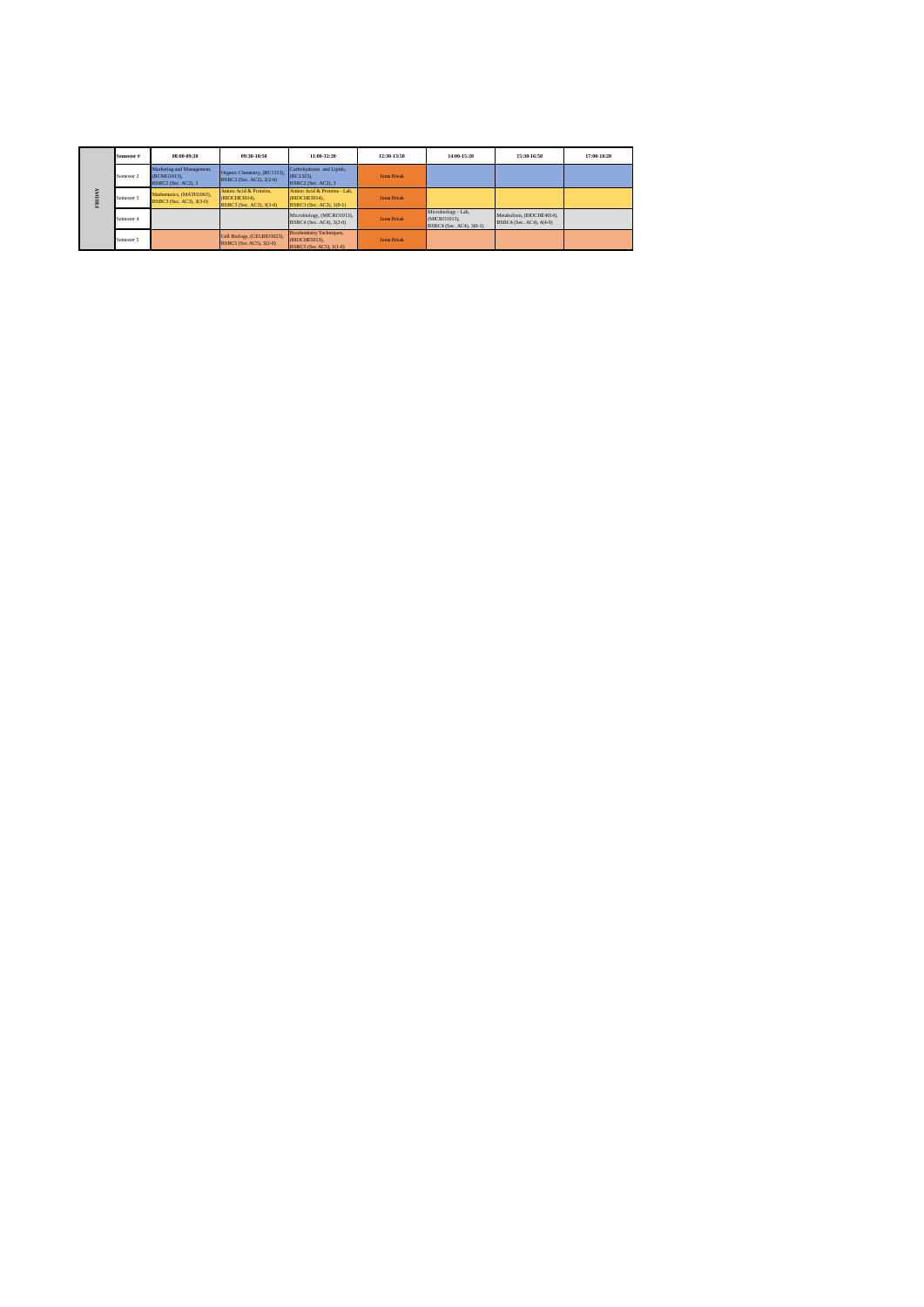| ž<br>$\triangleright$<br>뎥 | Semester # | $08:00-09:20$                                                   | 09:30-10:50                                                         | 11:00.12:20                                                                 | 12:30.13:50 | 14:00.15:20                                                     | 15:30-16:50                                           | 17:00-18:20 |
|----------------------------|------------|-----------------------------------------------------------------|---------------------------------------------------------------------|-----------------------------------------------------------------------------|-------------|-----------------------------------------------------------------|-------------------------------------------------------|-------------|
|                            | Semester 2 | Marketing and Management,<br>(BCMG1013).<br>BSBC2 (Sec. AC2), 3 | Organic Chemistry, (BC1313),<br>BSBC2 (Sec. AC2), 2(2-0)            | Carbohydrates and Lipids.<br>$(BC1323)$ .<br>BSBC2 (Sec. AC2), 3            | Juma Break  |                                                                 |                                                       |             |
|                            | Semester 3 | Mathematics, (MATH1063).<br>BSBC3 (Sec. AC3), 3(3-0)            | Amino Acid & Proteins.<br>(BIOCHE3014).<br>BSBC3 (Sec. AC3), 3(3-0) | Amino Acid & Proteins - Lab.<br>(BIOCHE3014).<br>BSBC3 (Sec. AC3), 1(0-1)   | Juma Break  |                                                                 |                                                       |             |
|                            | Semester 4 |                                                                 |                                                                     | Microbiology, (MICRO1013),<br>BSBC4 (Sec. AC4), 3(2-0)                      | Juma Break  | Microbiology - Lab.<br>(MICRO1013).<br>BSBC4 (Sec. AC4), 3(0-1) | Metabolism. (BIOCHE4014).<br>BSBC4 (Sec. AC4), 4(4-0) |             |
|                            | Semester 5 |                                                                 | Cell Biology, (CELBIO3023),<br>BSBC5 (Sec AC5), 3(2-0)              | <b>Biochemistry Techniques,</b><br>(BIOCHE5013).<br>BSBC5 (Sec AC5), 1(1-0) | Juma Break  |                                                                 |                                                       |             |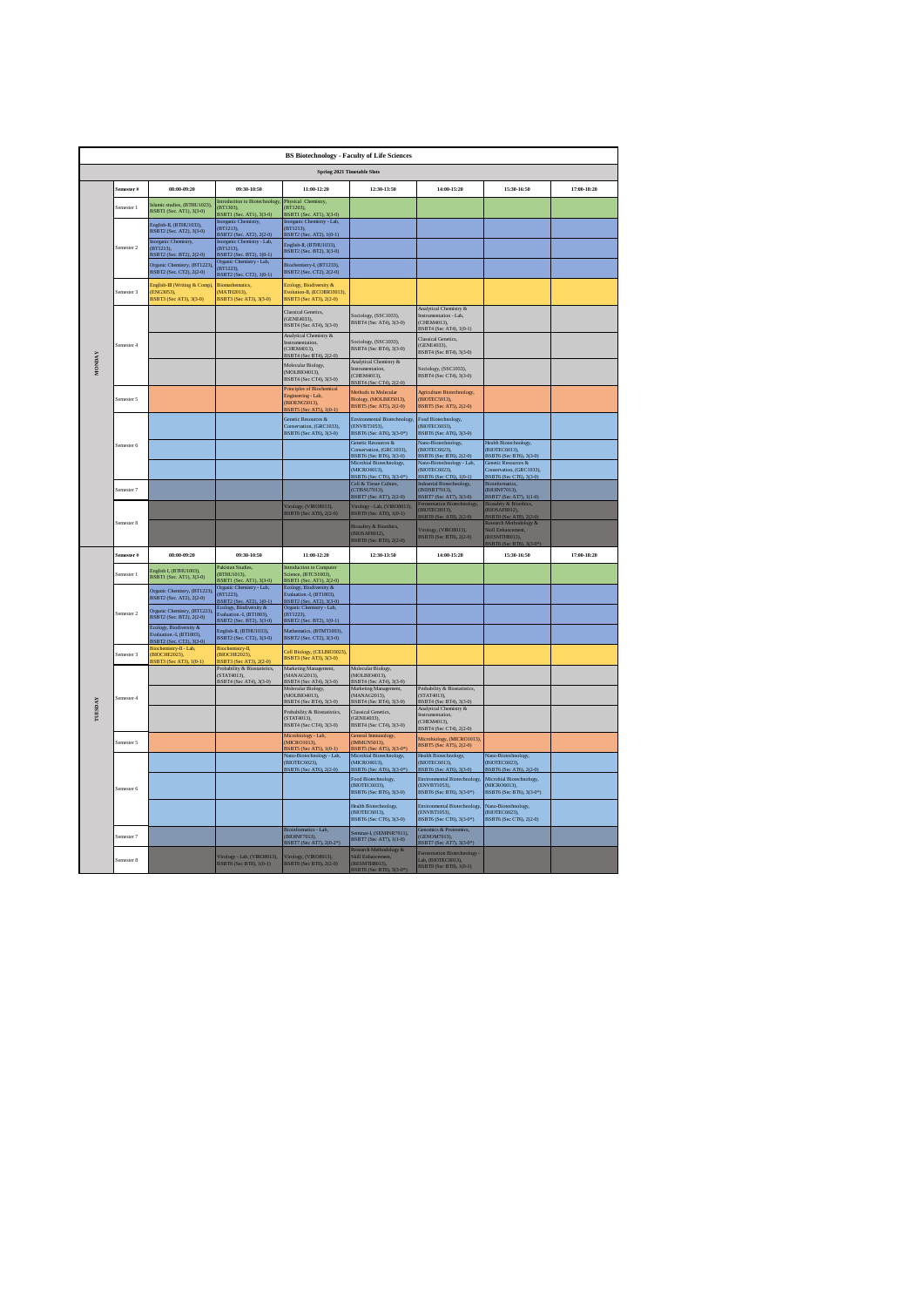|               | <b>BS Biotechnology - Faculty of Life Sciences</b> |                                                                                |                                                                                           |                                                                                                        |                                                                                                                                                    |                                                                                                                                          |                                                                                                                                                 |             |  |  |  |
|---------------|----------------------------------------------------|--------------------------------------------------------------------------------|-------------------------------------------------------------------------------------------|--------------------------------------------------------------------------------------------------------|----------------------------------------------------------------------------------------------------------------------------------------------------|------------------------------------------------------------------------------------------------------------------------------------------|-------------------------------------------------------------------------------------------------------------------------------------------------|-------------|--|--|--|
|               |                                                    |                                                                                |                                                                                           | <b>Spring 2021 Timetable Slots</b>                                                                     |                                                                                                                                                    |                                                                                                                                          |                                                                                                                                                 |             |  |  |  |
|               | emester #                                          | 08:00-09:20                                                                    | 09:30-10:50                                                                               | $11:00-12:20$                                                                                          | 12:30-13:50                                                                                                                                        | 14:00-15:20                                                                                                                              | 15:30-16:50                                                                                                                                     | 17:00-18:20 |  |  |  |
|               | Semester 1                                         | mic studies, (BTHU1023),<br><b>BSBTI (Sec. AT1), 3(3-0)</b>                    | introduction to Biotechnology<br>BT1303).<br>3SBTI (Sec. ATI), 3(3-0)                     | Physical Chemistry,<br>(BT1203),<br>BSBT1 (Sec. AT1), 3(3-0)                                           |                                                                                                                                                    |                                                                                                                                          |                                                                                                                                                 |             |  |  |  |
|               |                                                    | English-II, (BTHU1033),<br>BSBT2 (Sec. AT2), 3(3-0)<br>Inorganic Chemistry,    | inorganic Chemistry,<br>(BT1213).<br>BSBT2 (Sec. AT2), 2(2-0)<br>organic Chemistry - Lab, | organic Chemistry - Lab,<br>(RT1213)<br>BSBT2 (Sec. AT2), 1(0-1)<br>English-II, (BTHU1033),            |                                                                                                                                                    |                                                                                                                                          |                                                                                                                                                 |             |  |  |  |
|               | Semester <sub>2</sub>                              | (BT1213),<br><b>BSBT2</b> (Sec. BT2), 2(2-0)                                   | $(BT1213)$ ,<br><b>BSBT2</b> (Sec. BT2), 1(0-1)<br>Organic Chemistry - Lab,               | BSBT2 (Sec. BT2), 3(3-0)                                                                               |                                                                                                                                                    |                                                                                                                                          |                                                                                                                                                 |             |  |  |  |
|               |                                                    | Drganic Chemistry, (BT1223)<br>BSBT2 (Sec. CT2), 2(2-0)                        | (BT1223),<br>BSBT2 (Sec. CT2), 1(0-1)                                                     | Biochemistry-I, (BT1233),<br>BSBT2 (Sec. CT2), 2(2-0)                                                  |                                                                                                                                                    |                                                                                                                                          |                                                                                                                                                 |             |  |  |  |
|               | emester 3                                          | inglish-III (Writing & Comp)<br>ENG3053).<br><b>BSBT3</b> (Sec AT3), 3(3-0)    | <b>Biomathematics</b> ,<br>MATH2013).<br><b>BSBT3</b> (Sec AT3), 3(3-0)                   | <b>Ecology</b> , Biodiversity &<br>Evolution-IL (ECOBIO3013).<br>BSBT3 (Sec AT3), 2(2-0)               |                                                                                                                                                    | Analytical Chemistry &                                                                                                                   |                                                                                                                                                 |             |  |  |  |
|               |                                                    |                                                                                |                                                                                           | Classical Genetics,<br>(GENE4033).<br>BSBT4 (Sec AT4), 3(3-0)                                          | Sociology, (SSC1033),<br>BSBT4 (Sec AT4), 3(3-0)                                                                                                   | Instrumentation - Lab,<br>(CHEM4013),<br>BSBT4 (Sec AT4), 1(0-1)                                                                         |                                                                                                                                                 |             |  |  |  |
|               | Semester 4                                         |                                                                                |                                                                                           | Analytical Chemistry &<br>Instrumentation,<br>(CHEM4013).<br>BSBT4 (Sec BT4), 2(2-0)                   | Sociology, (SSC1033),<br>BSBT4 (Sec BT4), 3(3-0)                                                                                                   | Classical Genetics,<br>(GENE4033).<br>BSBT4 (Sec BT4), 3(3-0)                                                                            |                                                                                                                                                 |             |  |  |  |
| <b>AVGNOW</b> |                                                    |                                                                                |                                                                                           | Molecular Biology,<br>(MOLBIO4013).<br>BSBT4 (Sec CT4), 3(3-0)                                         | Analytical Chemistry &<br>(CHEM4013).<br>BSBT4 (Sec CT4), 2(2-0)                                                                                   | Sociology, (SSC1033),<br>BSBT4 (Sec CT4), 3(3-0)                                                                                         |                                                                                                                                                 |             |  |  |  |
|               | Semester 5                                         |                                                                                |                                                                                           | Principles of Biochemical<br>Engineering - Lab,<br>(BIOENG5013).<br>BSBT5 (Sec AT5), 1(0-1)            | Methods in Molecular<br>Biology, (MOLBIO5013),<br>BSBT5 (Sec AT5), 2(2-0)                                                                          | Agriculture Biotechnology,<br>(BIOTEC5013).<br>BSBT5 (Sec AT5), 2(2-0)                                                                   |                                                                                                                                                 |             |  |  |  |
|               |                                                    |                                                                                |                                                                                           | Genetic Resources &<br>Conservation, (GRC1033).<br>BSBT6 (Sec AT6), 3(3-0)                             | <b>Environmental Biotechnology</b><br>(ENVBT1053).<br><b>BSBT6</b> (Sec AT6), 3(3-0*)                                                              | Food Biotechnology,<br>(BIOTEC6033).<br>BSBT6 (Sec AT6), 3(3-0)                                                                          |                                                                                                                                                 |             |  |  |  |
|               | Semester 6                                         |                                                                                |                                                                                           |                                                                                                        | Genetic Resources &<br>Conservation, (GRC1033),<br>BSBT6 (Sec BT6), 3(3-0)<br>Microbial Biotechnology,<br>(MICRO6013),<br>BSBT6 (Sec CT6), 3(3-0*) | ano-Biotechnology,<br>(BIOTEC 6023),<br>BSBT6 (Sec BT6), 2(2-0)<br>Nano-Biotechnology - Lab,<br>(BIOTEC6023),<br>BSBT6 (Sec CT6), 1(0-1) | Health Biotechnology,<br>(BIOTEC6013),<br>BSBT6 (Sec BT6), 3(3-0)<br>Genetic Resources &<br>Conservation, (GRC1033),<br>BSBT6 (Sec CT6), 3(3-0) |             |  |  |  |
|               | mester 7                                           |                                                                                |                                                                                           |                                                                                                        | Cell & Tissue Culture,<br>(CTISSU7013)<br>BSBT7 (Sec AT7), 2(2-0)                                                                                  | Industrial Biotechnology,<br>(INDSBT7013).<br>BSBT7 (Sec AT7), 3(3-0)                                                                    | Bioinform<br>(BIOINE7013)<br>BSBT7 (Sec AT7), 1(1-0)                                                                                            |             |  |  |  |
|               |                                                    |                                                                                |                                                                                           | irology, (VIRO8013),<br><b>BSBTS</b> (Sec AT8), 2(2-0)                                                 | Virology - Lab, (VIRO8013),<br><b>BSBTS</b> (Sec ATS), 1(0-1)                                                                                      | tation Biotechnology<br><b>BIOTECS013</b><br>3SBT8 (Sec AT8), 2(2-0)                                                                     | Biosafety & Bioethics,<br><b>BIOSAF8012).</b>                                                                                                   |             |  |  |  |
|               | Semester 8                                         |                                                                                |                                                                                           |                                                                                                        | Biosafety & Bioethics,<br>(BIOSAF8012),<br>BSBT8 (Sec BT8), 2(2-0)                                                                                 | Virology, (VIRO8013),<br>BSBT8 (Sec BT8), 2(2-0)                                                                                         | <b>BSBT8 (Sec AT8), 2(2-0)</b><br>Research Methodology &<br>Skill Enhancement,<br>RESMITHS013)<br>3SBT8 (Sec BT8), 3(3-0*)                      |             |  |  |  |
|               | Semester #                                         | 08:00-09:20                                                                    | 09:30-10:50                                                                               | 11:00-12:20                                                                                            | 12:30-13:50                                                                                                                                        | 14:00-15:20                                                                                                                              | 15:30-16:50                                                                                                                                     | 17:00-18:20 |  |  |  |
|               | Semester 1                                         | English I. (BTHU1003).<br><b>BSBT1</b> (Sec. AT1), 3(3-0)                      | Pakistan Studies<br>(BTHU1013).<br>BSBTI (Sec. ATI), 3(3-0)                               | introduction to Computer<br>Science, (BTCS1003)<br>BSBT1 (Sec. AT1), 2(2-0)<br>Ecology, Biodiversity & |                                                                                                                                                    |                                                                                                                                          |                                                                                                                                                 |             |  |  |  |
|               |                                                    | nic Chemistry, (BT1223)<br><b>BSBT2</b> (Sec. AT2), 2(2-0)                     | Organic Chemistry - Lab,<br>(BT1223),<br>BSBT2 (Sec. AT2), 1(0-1)                         | Svaluation.-I, (BT1803),<br>BSBT2 (Sec. AT2), 3(3-0)                                                   |                                                                                                                                                    |                                                                                                                                          |                                                                                                                                                 |             |  |  |  |
|               | emester 2                                          | unic Chemistry, (BT1223).<br>BSBT2 (Sec. BT2), 2(2-0)                          | Ecology, Biodiversity &<br>Evaluation.-I, (BT1803),<br>BSBT2 (Sec. BT2), 3(3-0)           | Organic Chemistry - Lab.<br>(BT1223),<br>3SBT2 (Sec. BT2), 1(0-1)                                      |                                                                                                                                                    |                                                                                                                                          |                                                                                                                                                 |             |  |  |  |
|               |                                                    | Ecology, Biodiversity &<br>Evaluation.-L (BT1803).<br>BSBT2 (Sec. CT2), 3(3-0) | English-II, (BTHU1033),<br>BSBT2 (Sec. CT2), 3(3-0)                                       | Mathematics, (BTMT1003),<br>BSBT2 (Sec. CT2), 3(3-0)                                                   |                                                                                                                                                    |                                                                                                                                          |                                                                                                                                                 |             |  |  |  |
|               | Semester 3                                         | liochemistry-II - Lab,<br><b>BIOCHE2023)</b><br>SSBT3 (Sec AT3), 1(0-1)        | Biochemistry-II,<br>BIOCHE2023),<br><b>BSBT3</b> (Sec AT3), 2(2-0)                        | Cell Biology, (CELBIO3023),<br>BSBT3 (Sec AT3), 3(3-0)                                                 |                                                                                                                                                    |                                                                                                                                          |                                                                                                                                                 |             |  |  |  |
|               |                                                    |                                                                                | Probability & Biostatistics.<br>(STAT4013),<br>BSBT4 (Sec AT4), 3(3-0)                    | Marketing Management.<br>(MANAG2013),<br>BSBT4 (Sec AT4), 3(3-0)                                       | Molecular Biology,<br>(MOLBIO4013),<br>BSBT4 (Sec AT4), 3(3-0)                                                                                     |                                                                                                                                          |                                                                                                                                                 |             |  |  |  |
|               | Semester 4                                         |                                                                                |                                                                                           | Molecular Biology,<br>(MOLBIO4013),<br>BSBT4 (Sec BT4), 3(3-0)                                         | Marketing Management,<br>(MANAG2013),<br>BSBT4 (Sec BT4), 3(3-0)                                                                                   | Probability & Biostatistics.<br>(STAT4013),<br>BSBT4 (Sec BT4), 3(3-0)                                                                   |                                                                                                                                                 |             |  |  |  |
| TUESDAY       |                                                    |                                                                                |                                                                                           | Probability & Biostatistics,<br>(STAT4013),<br>BSBT4 (Sec CT4), 3(3-0)                                 | Classical Genetics,<br>(GENE4033).<br><b>BSBT4 (Sec CT4), 3(3-0)</b>                                                                               | Analytical Chemistry &<br>Instrumentation.<br>(CHEM4013),<br>BSBT4 (Sec CT4), 2(2-0)                                                     |                                                                                                                                                 |             |  |  |  |
|               | emester 5                                          |                                                                                |                                                                                           | Microbiology - Lab,<br><b>MICRO1013).</b><br>3SBT5 (Sec AT5), 1(0-1)                                   | General Immunology,<br>(IMMUN5013).<br>BSBT5 (Sec AT5), 3(3-0*)                                                                                    | Microbiology, (MICRO1013),<br>BSBT5 (Sec AT5), 2(2-0)                                                                                    |                                                                                                                                                 |             |  |  |  |
|               |                                                    |                                                                                |                                                                                           | Vano-Biotechnology - Lab,<br><b>BIOTEC6023).</b><br>BSBT6 (Sec AT6), 2(2-0)                            | Microbial Biotechnology,<br>(MICRO6013),<br>BSBT6 (Sec AT6), 3(3-0*)                                                                               | <b>Health Biotechnology</b> ,<br>(BIOTEC6013).<br>BSBT6 (Sec AT6), 3(3-0)                                                                | kano-Biotechnology,<br>(BIOTEC6023).<br>BSBT6 (Sec AT6), 2(2-0)                                                                                 |             |  |  |  |
|               | Semester 6                                         |                                                                                |                                                                                           |                                                                                                        | Food Biotechnology,<br><b>BIOTEC6033)</b><br>BSBT6 (Sec BT6), 3(3-0)                                                                               | <b>Environmental Biotechnology</b><br>(ENVBT1053).<br>BSBT6 (Sec BT6), 3(3-0 <sup>*</sup> )                                              | Microbial Biotechnology,<br>MICRO6013),<br>BSBT6 (Sec BT6), 3(3-0*)                                                                             |             |  |  |  |
|               |                                                    |                                                                                |                                                                                           |                                                                                                        | Health Biotechnology,<br>(BIOTEC6013),<br>BSBT6 (Sec CT6), 3(3-0)                                                                                  | Environmental Biotechnology.<br>(ENVBT1053),<br>BSBT6 (Sec CT6), 3(3-0*)                                                                 | Nano-Biotechnology,<br>(BIOTEC6023),<br>BSBT6 (Sec CT6), 2(2-0)                                                                                 |             |  |  |  |
|               | mester 7                                           |                                                                                |                                                                                           | Bioinformatics - Lab,<br>(BIOINF7013),<br>BSBT7 (Sec AT7), 2(0-2 <sup>*</sup> )                        | Seminar-L (SEMINR7011).<br>BSBT7 (Sec AT7), 1(1-0)                                                                                                 | Genomics & Proteomics,<br>(GENOM7013),<br>BSBT7 (Sec AT7), 3(3-0 <sup>®</sup> )                                                          |                                                                                                                                                 |             |  |  |  |
|               | emester 8                                          |                                                                                | Virology - Lab, (VIRO8013),<br>BSBT8 (Sec BT8), 1(0-1)                                    | Virology, (VIRO8013),<br>BSBT8 (Sec BT8), 2(2-0)                                                       | Research Methodology &<br>Skill Enhancement,<br>(RESMTH8013),<br>BSBT8 (Sec BT8), 3(3-0*)                                                          | ation Biotechnology<br>Lab. (BIOTEC8013).<br>BSBT8 (Sec BT8), 1(0-1)                                                                     |                                                                                                                                                 |             |  |  |  |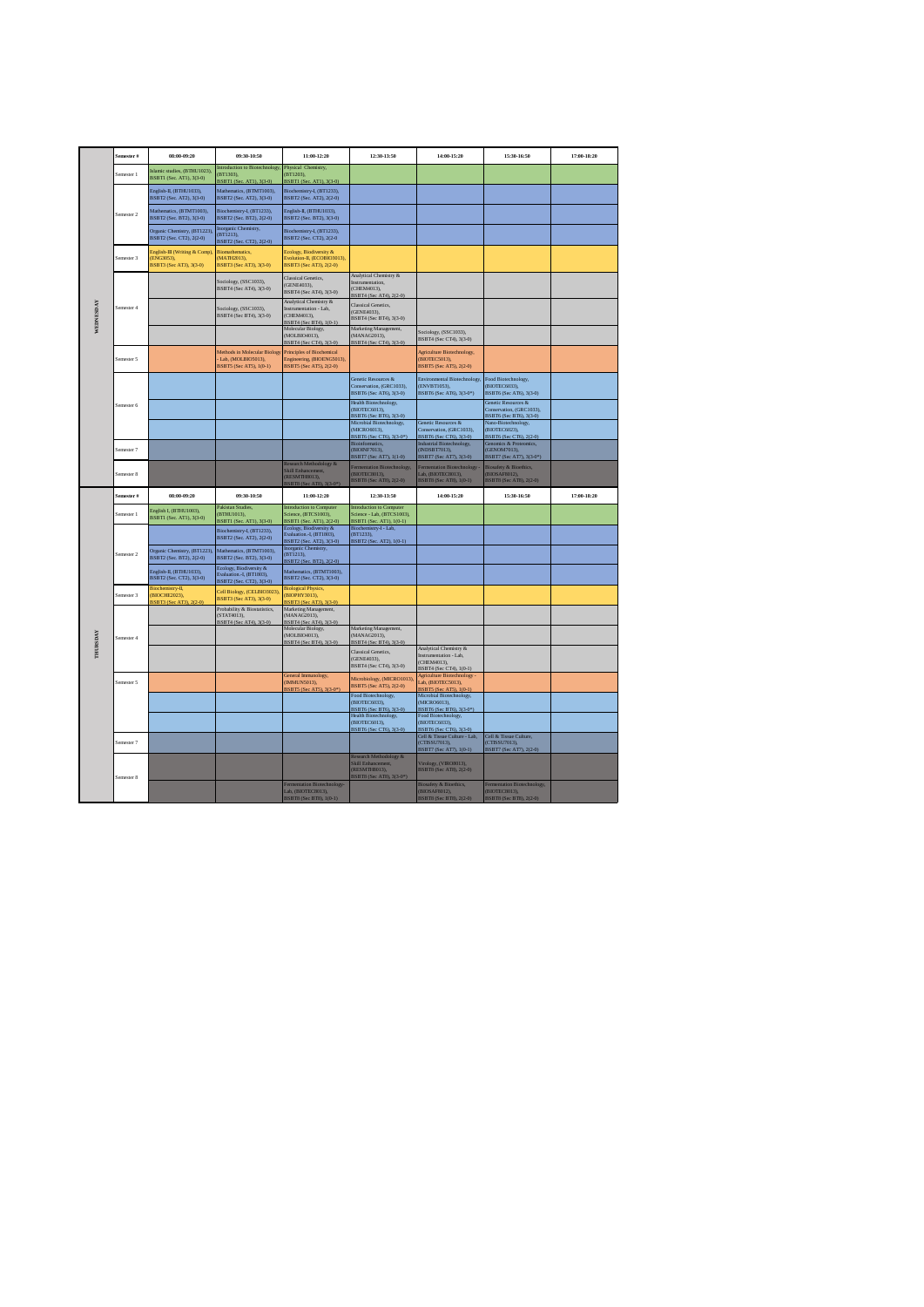|                 | Semester #            | 08:00-09:20                                                           | 09:30-10:50                                                                             | 11:00-12:20                                                                                            | 12:30-13:50                                                                             | 14:00-15:20                                                                                | 15:30-16:50                                                                          | 17:00-18:20 |
|-----------------|-----------------------|-----------------------------------------------------------------------|-----------------------------------------------------------------------------------------|--------------------------------------------------------------------------------------------------------|-----------------------------------------------------------------------------------------|--------------------------------------------------------------------------------------------|--------------------------------------------------------------------------------------|-------------|
|                 | Semester 1            | Islamic studies, (BTHU1023),<br>BSBT1 (Sec. AT1), 3(3-0)              | Introduction to Biotechnology,<br>BT1303).                                              | Physical Chemistry,<br>(BT1203).                                                                       |                                                                                         |                                                                                            |                                                                                      |             |
|                 |                       | English-II, (BTHU1033),<br>BSBT2 (Sec. AT2), 3(3-0)                   | <b>SSRTL(Set</b><br>ATD 3(3.0)<br>Mathematics, (BTMT1003),<br>BSBT2 (Sec. AT2), 3(3-0)  | 35RT1 (Sec. AT1) 3(3.0)<br>Biochemistry-I, (BT1233),<br>BSBT2 (Sec. AT2), 2(2-0)                       |                                                                                         |                                                                                            |                                                                                      |             |
|                 | Semester <sub>2</sub> | Mathematics, (BTMT1003),<br>BSBT2 (Sec. BT2), 3(3-0)                  | Biochemistry-I, (BT1233),<br>BSBT2 (Sec. BT2), 2(2-0)                                   | English-II, (BTHU1033),<br>BSBT2 (Sec. BT2), 3(3-0)                                                    |                                                                                         |                                                                                            |                                                                                      |             |
|                 |                       | Organic Chemistry, (BT1223).<br>BSBT2 (Sec. CT2), 2(2-0)              | Inorganic Chemistry,<br>(BT1213),<br>BSBT2 (Sec. CT2), 2(2-0)                           | Biochemistry-L (BT1233).<br>BSBT2 (Sec. CT2), 2(2-0)                                                   |                                                                                         |                                                                                            |                                                                                      |             |
|                 | Semester 3            | English-III (Writing & Comp)<br>(ENG3053),<br>BSBT3 (Sec AT3), 3(3-0) | <b>Biomathematics</b> ,<br>MATH2013),<br>BSBT3 (Sec AT3), 3(3-0)                        | Ecology, Biodiversity &<br>Evolution-II, (ECOBIO3013),<br>BSBT3 (Sec AT3), 2(2-0)                      |                                                                                         |                                                                                            |                                                                                      |             |
|                 |                       |                                                                       | Sociology, (SSC1033),<br>BSBT4 (Sec AT4), 3(3-0)                                        | Classical Genetics,<br>(GENE4033).<br>BSBT4 (Sec AT4), 3(3-0)                                          | Analytical Chemistry &<br>Instrumentation.<br>(CHEM4013).<br>BSBT4 (Sec AT4), 2(2-0)    |                                                                                            |                                                                                      |             |
| WEDNESDAY       | Semester 4            |                                                                       | Sociology, (SSC1033),<br>BSBT4 (Sec BT4), 3(3-0)                                        | Analytical Chemistry &<br>Instrumentation - Lab,<br>(CHEM4013),<br>BSBT4 (Sec BT4), 1(0-1)             | Classical Genetics,<br>(GENE4033),<br>BSBT4 (Sec BT4), 3(3-0)                           |                                                                                            |                                                                                      |             |
|                 |                       |                                                                       |                                                                                         | Molecular Biology,<br>(MOLBIO4013),<br>BSBT4 (Sec CT4), 3(3-0)                                         | Marketing Management,<br>(MANAG2013).<br>BSBT4 (Sec CT4), 3(3-0)                        | Sociology, (SSC1033).<br>BSBT4 (Sec CT4), 3(3-0)                                           |                                                                                      |             |
|                 | Semester 5            |                                                                       | Methods in Molecular Biology<br>Lab, (MOLBIO5013),<br>BSBT5 (Sec AT5), 1(0-1)           | Principles of Biochemical<br>Engineering, (BIOENG5013),<br>BSBT5 (Sec AT5), 2(2-0)                     |                                                                                         | <b>Agriculture Biotechnology</b> ,<br>(BIOTEC5013),<br>BSBT5 (Sec AT5), 2(2-0)             |                                                                                      |             |
|                 |                       |                                                                       |                                                                                         |                                                                                                        | Genetic Resources &<br>Conservation, (GRC1033),<br>BSBT6 (Sec AT6), 3(3-0)              | Environmental Biotechnology,<br>(ENVBT1053),<br>BSBT6 (Sec AT6), 3(3-0*)                   | Food Biotechnology,<br>(BIOTEC6033),<br>BSBT6 (Sec AT6), 3(3-0)                      |             |
|                 | Semester 6            |                                                                       |                                                                                         |                                                                                                        | Health Biotechnology,<br>(BIOTEC6013)<br>BSBT6 (Sec BT6), 3(3-0)                        |                                                                                            | Genetic Resources &<br>Conservation, (GRC1033),<br>BSBT6 (Sec BT6), 3(3-0)           |             |
|                 |                       |                                                                       |                                                                                         |                                                                                                        | Microbial Biotechnology,<br>(MICRO6013),<br>BSBT6 (Sec CT6), 3(3-0*)                    | Genetic Resources &<br>Conservation, (GRC1033),<br>BSBT6 (Sec CT6), 3(3-0)                 | Nano-Biotechnology,<br>(BIOTEC6023).<br>BSBT6 (Sec CT6), 2(2-0)                      |             |
|                 | Semester 7            |                                                                       |                                                                                         |                                                                                                        | <b>Bioinformatics</b> ,<br>(BIOINF7013),<br>BSBT7 (Sec AT7), 1(1-0)                     | Industrial Biotechnology,<br>(INDSBT7013),<br>BSBT7 (Sec AT7), 3(3-0)                      | Genomics & Prote<br>(GENOM7013),<br>BSBT7 (Sec AT7), 3(3-0*)                         |             |
|                 | Semester 8            |                                                                       |                                                                                         | Research Methodology &<br><b>Skill Enhancement</b><br><b>RESMTH8013)</b> ,<br>3SBT8 (Sec AT8), 3(3-0*) | <sup>z</sup> ermentation Biotechnology,<br>(BIOTEC8013),<br>BSBT8 (Sec AT8), 2(2-0)     | entation Biotechnology<br>Lab, (BIOTEC8013),<br>BSBT8 (Sec AT8), 1(0-1)                    | <b>Biosafety &amp; Bioethics</b> ,<br><b>BIOSAF8012),</b><br>BSBT8 (Sec AT8), 2(2-0) |             |
|                 | Semester #            | 08:00-09:20                                                           | 09:30-10:50                                                                             | 11:00-12:20                                                                                            | 12:30-13:50                                                                             | 14:00-15:20                                                                                | 15:30-16:50                                                                          | 17:00-18:20 |
|                 | Semester 1            | English I, (BTHU1003),<br>BSBT1 (Sec. AT1), 3(3-0)                    | Pakistan Studies.<br>(BTHU1013),<br>BSBT1 (Sec. AT1), 3(3-0)                            | Introduction to Computer<br>Science, (BTCS1003).<br>BSBT1 (Sec. AT1), 2(2-0)                           | Introduction to Computer<br>Science - Lab. (BTCS1003).<br>BSBTI (Sec. ATI), 1(0-1)      |                                                                                            |                                                                                      |             |
|                 |                       |                                                                       | Biochemistry-I, (BT1233),<br>BSBT2 (Sec. AT2), 2(2-0)                                   | Ecology, Biodiversity &<br>Evaluation.-I, (BT1803),<br>BSBT2 (Sec. AT2), 3(3-0)                        | Biochemistry-I - Lab,<br>(RT1233)<br>BSBT2 (Sec<br>$AT2$ ), $1(0-1)$                    |                                                                                            |                                                                                      |             |
|                 | Semester <sub>2</sub> | Organic Chemistry, (BT1223)<br>BSBT2 (Sec. BT2), 2(2-0)               | Mathematics, (BTMT1003),<br>BSBT2 (Sec. BT2), 3(3-0)                                    | Inorganic Chemistry,<br>(BT1213).<br>BSBT2 (Sec. BT2), 2(2-0).                                         |                                                                                         |                                                                                            |                                                                                      |             |
|                 |                       | English-II, (BTHU1033),<br>BSBT2 (Sec. CT2), 3(3-0)                   | <b>Ecology</b> , Biodiversity &<br>Evaluation.-I, (BT1803),<br>BSBT2 (Sec. CT2), 3(3-0) | Mathematics, (BTMT1003),<br>BSBT2 (Sec. CT2), 3(3-0)                                                   |                                                                                         |                                                                                            |                                                                                      |             |
|                 | Semester 3            | Biochemistry-II,<br><b>BIOCHE2023)</b><br>BSBT3 (Sec AT3), 2(2-0)     | Cell Biology, (CELBIO3023),<br>BSBT3 (Sec AT3), 3(3-0)                                  | <b>Biological Physics</b><br>(BIOPHY3013),<br>BSBT3 (Sec AT3), 3(3-0)                                  |                                                                                         |                                                                                            |                                                                                      |             |
|                 |                       |                                                                       | Probability & Biostatistics,<br>(STAT4013).<br>BSBT4 (Sec AT4), 3(3-0)                  | Marketing Management,<br>(MANAG2013).<br>BSBT4 (Sec AT4), 3(3-0)                                       |                                                                                         |                                                                                            |                                                                                      |             |
| <b>THURSDAY</b> | Semester 4            |                                                                       |                                                                                         | Molecular Biology,<br>(MOLBIO4013).<br>BSBT4 (Sec BT4), 3(3-0)                                         | Marketing Management,<br>(MANAG2013).<br>BSBT4 (Sec BT4), 3(3-0)                        |                                                                                            |                                                                                      |             |
|                 |                       |                                                                       |                                                                                         |                                                                                                        | <b>Classical Genetics,</b><br>(GENE4033).<br>BSBT4 (Sec CT4), 3(3-0)                    | Analytical Chemistry &<br>Instrumentation - Lab,<br>(CHEM4013).<br>BSBT4 (Sec CT4), 1(0-1) |                                                                                      |             |
|                 | Semester 5            |                                                                       |                                                                                         | <b>General Immunology</b> ,<br>(IMMUN5013),<br>BSBT5 (Sec AT5), 3(3-0)                                 | Microbiology, (MICRO1013),<br><b>BSBT5 (Sec AT5) 2(2-0)</b>                             | <b>Agriculture Biotechnology</b><br>Lab, (BIOTEC5013),<br>BSBT5 (Sec AT5), 1(0-1)          |                                                                                      |             |
|                 |                       |                                                                       |                                                                                         |                                                                                                        | Food Biotechnology,<br>(BIOTEC6033),<br>BSBT6 (Sec BT6), 3(3-0)                         | Microbial Biotechnology,<br>(MICRO6013),<br>BSBT6 (Sec BT6), 3(3-0 <sup>*</sup> )          |                                                                                      |             |
|                 |                       |                                                                       |                                                                                         |                                                                                                        | Health Biotechnology,<br>(BIOTEC6013),<br>BSBT6 (Sec CT6), 3(3-0)                       | Food Biotechnology,<br>(BIOTEC6033),<br>BSBT6 (Sec CT6), 3(3-0)                            |                                                                                      |             |
|                 | Semester 7            |                                                                       |                                                                                         |                                                                                                        |                                                                                         | Cell & Tissue Culture - Lab.<br>(CTISSU7013)<br>BSBT7 (Sec AT7), 1(0-1)                    | Cell & Tissue Culture.<br>CTISSI 17013)<br>BSBT7 (Sec AT7), 2(2-0)                   |             |
|                 | Semester 8            |                                                                       |                                                                                         |                                                                                                        | Research Methodology &<br>Skill Enhancement,<br>RESMTH8013),<br>BSBT8 (Sec AT8), 3(3-0* | /irology, (VIRO8013),<br>BSBT8 (Sec AT8), 2(2-0)                                           |                                                                                      |             |
|                 |                       |                                                                       |                                                                                         | Fermentation Biotechnology-<br>Lab (BIOTECS013)<br>BSBT8 (Sec BT8), 1(0-1)                             |                                                                                         | Biosafety & Bioethics,<br>(RIOSAE8012)<br>BSBT8 (Sec BT8), 2(2-0)                          | Fermentation Biotechnology,<br>(BIOTECS013)<br>BSBT8 (Sec BT8), 2(2-0)               |             |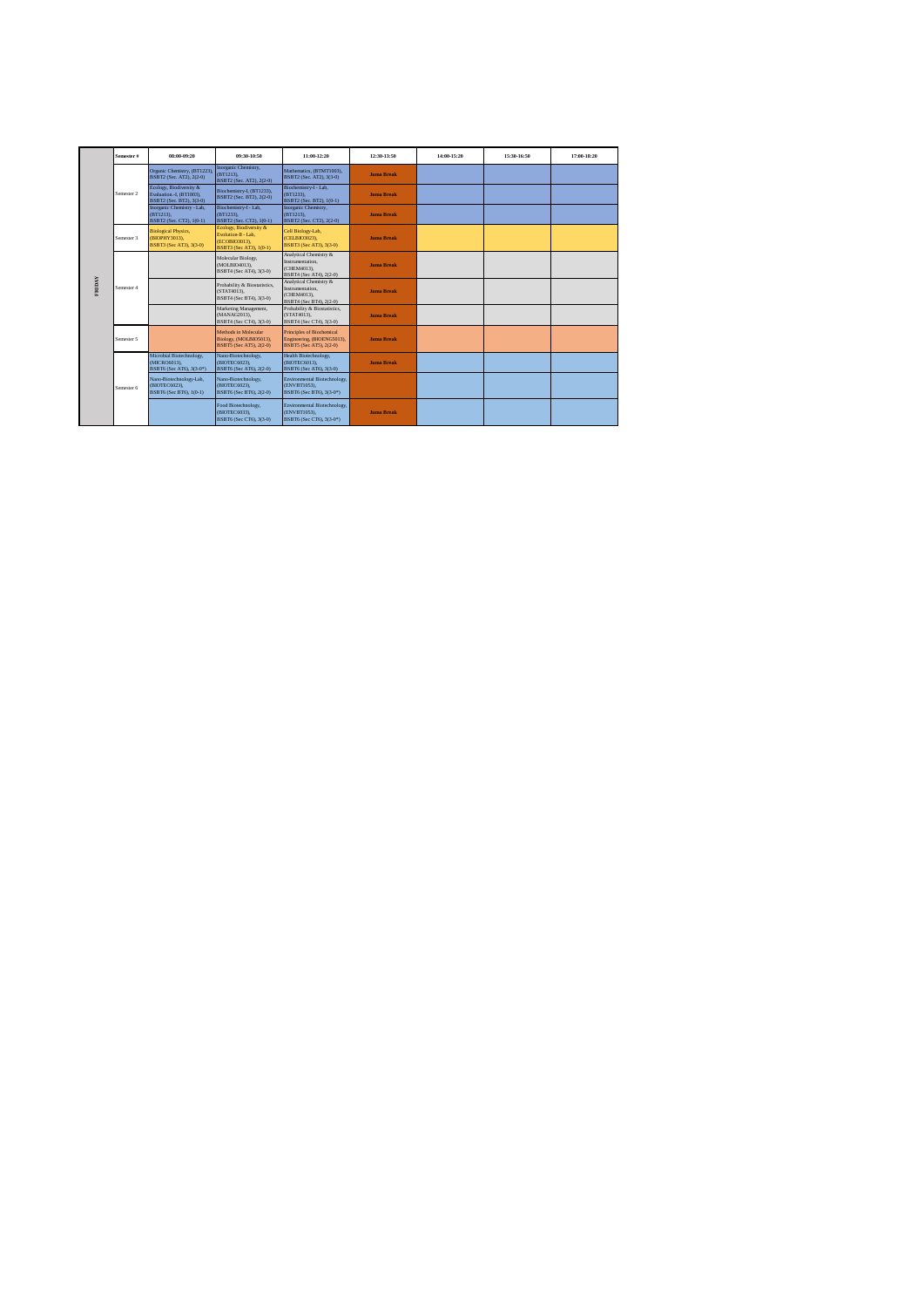|        | Semester # | 08:00-09:20                                                                     | 09:30-10:50                                                                                | 11:00-12:20                                                                           | 12:30-13:50       | 14:00-15:20 | 15:30-16:50 | 17:00-18:20 |
|--------|------------|---------------------------------------------------------------------------------|--------------------------------------------------------------------------------------------|---------------------------------------------------------------------------------------|-------------------|-------------|-------------|-------------|
|        |            | Organic Chemistry, (BT1223)<br>BSBT2 (Sec. AT2), 2(2-0)                         | Inorganic Chemistry,<br>(BT1213).<br>BSBT2 (Sec. AT2), 2(2-0)                              | Mathematics, (BTMT1003).<br>BSBT2 (Sec. AT2), 3(3-0)                                  | <b>Juma Break</b> |             |             |             |
|        | Semester 2 | Ecology, Biodiversity &<br>Evaluation.-I. (BT1803).<br>BSBT2 (Sec. BT2), 3(3-0) | Biochemistry-I, (BT1233),<br>BSBT2 (Sec. BT2), 2(2-0)                                      | Biochemistry-I - Lab.<br>(BT1233).<br>BSBT2 (Sec. BT2), 1(0-1)                        | <b>Juma Break</b> |             |             |             |
|        |            | Inorganic Chemistry - Lab,<br>(BT1213).<br>BSBT2 (Sec. CT2), 1(0-1)             | Biochemistry-I - Lab,<br>(BT1233).<br>BSBT2 (Sec. CT2), 1(0-1)                             | Inorganic Chemistry,<br>(BT1213).<br>BSBT2 (Sec. CT2), 2(2-0)                         | <b>Juma Break</b> |             |             |             |
| FRIDAY | Semester 3 | <b>Biological Physics,</b><br>(BIOPHY3013).<br>BSBT3 (Sec AT3), 3(3-0)          | Ecology, Biodiversity &<br>Evolution-II - Lab,<br>(ECOBIO3013).<br>BSBT3 (Sec AT3), 1(0-1) | Cell Biology-Lab,<br>(CELBIO3023).<br>BSBT3 (Sec AT3), 3(3-0)                         | <b>Juma Break</b> |             |             |             |
|        |            |                                                                                 | Molecular Biology,<br>(MOLBIO4013).<br>BSBT4 (Sec AT4), 3(3-0)                             | Analytical Chemistry &<br>Instrumentation.<br>(CHEM4013),<br>BSBT4 (Sec AT4), 2(2-0)  | <b>Juma Break</b> |             |             |             |
|        | Semester 4 |                                                                                 | Probability & Biostatistics.<br>(STAT4013).<br>BSBT4 (Sec BT4), 3(3-0)                     | Analytical Chemistry &<br>Instrumentation.<br>(CHEM4013).<br>BSBT4 (Sec BT4), 2(2-0)  | <b>Juma Break</b> |             |             |             |
|        |            |                                                                                 | Marketing Management,<br>(MANAG2013).<br>BSBT4 (Sec CT4), 3(3-0)                           | Probability & Biostatistics,<br>(STAT4013).<br>BSBT4 (Sec CT4), 3(3-0)                | <b>Juma Break</b> |             |             |             |
|        | Semester 5 |                                                                                 | Methods in Molecular<br>Biology, (MOLBIO5013),<br>BSBT5 (Sec AT5), 2(2-0)                  | Principles of Biochemical<br>Engineering, (BIOENG5013),<br>BSBT5 (Sec AT5), 2(2-0)    | <b>Juma Break</b> |             |             |             |
|        |            | Microbial Biotechnology,<br>(MICRO6013).<br>BSBT6 (Sec AT6), 3(3-0*)            | Nano-Biotechnology,<br>(BIOTEC6023).<br>BSBT6 (Sec AT6), 2(2-0)                            | Health Biotechnology,<br>(BIOTEC6013).<br>BSBT6 (Sec AT6), 3(3-0)                     | <b>Juma Break</b> |             |             |             |
|        | Semester 6 | Nano-Biotechnology-Lab,<br>(BIOTEC6023).<br>BSBT6 (Sec BT6), 1(0-1)             | Nano-Biotechnology,<br>(BIOTEC6023).<br>BSBT6 (Sec BT6), 2(2-0)                            | Environmental Biotechnology,<br>(ENVBT1053).<br>BSBT6 (Sec BT6), 3(3-0 <sup>*</sup> ) |                   |             |             |             |
|        |            |                                                                                 | Food Biotechnology,<br>(BIOTEC6033).<br>BSBT6 (Sec CT6), 3(3-0)                            | Environmental Biotechnology,<br>(ENVBT1053).<br>BSBT6 (Sec CT6), 3(3-0 <sup>*</sup> ) | <b>Juma Break</b> |             |             |             |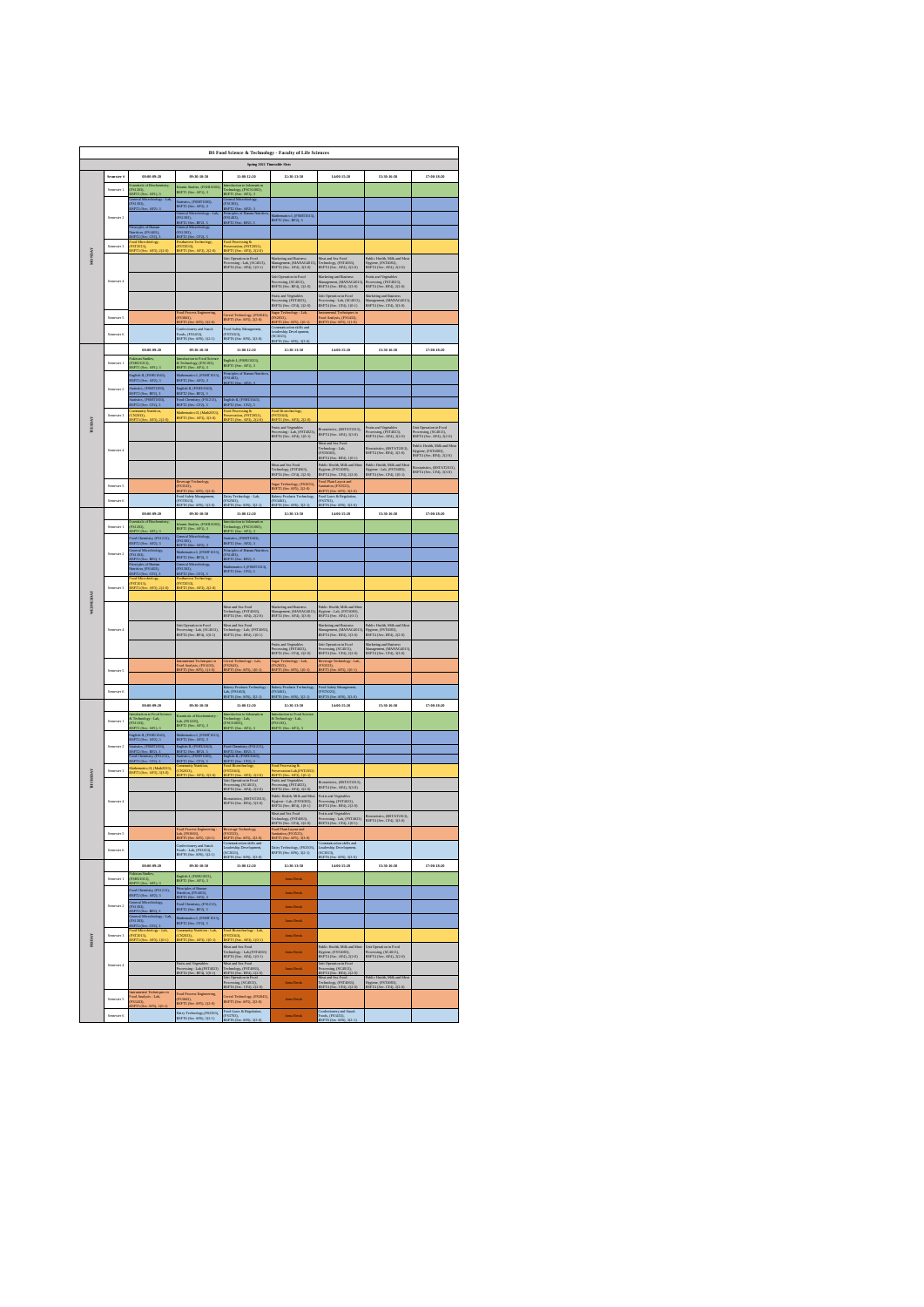| BS Food Science & Technology - Faculty of Life Sciences<br>Spring 2021 Timetable Slots |                            |                                                                                            |                                                                                                                 |                                                                                                                                                        |                                                                                                          |                                                                                                  |                                                                                      |                                                                               |  |  |  |
|----------------------------------------------------------------------------------------|----------------------------|--------------------------------------------------------------------------------------------|-----------------------------------------------------------------------------------------------------------------|--------------------------------------------------------------------------------------------------------------------------------------------------------|----------------------------------------------------------------------------------------------------------|--------------------------------------------------------------------------------------------------|--------------------------------------------------------------------------------------|-------------------------------------------------------------------------------|--|--|--|
|                                                                                        |                            |                                                                                            |                                                                                                                 |                                                                                                                                                        |                                                                                                          |                                                                                                  |                                                                                      |                                                                               |  |  |  |
|                                                                                        | Semester #                 | 08:00-09:20<br>als of Biochem                                                              | 09:30-10:50                                                                                                     | 11:00-12:20<br>action to Infor                                                                                                                         | 12:30-13:50                                                                                              | 14:00-15:20                                                                                      | 15:30-16:50                                                                          | 17:00-18:20                                                                   |  |  |  |
|                                                                                        |                            | FS1203),                                                                                   | slamic Stadies, (FSHU1003)<br>SSFT1 (Sec. AF1), 3                                                               | logy, (FSCS1003),                                                                                                                                      |                                                                                                          |                                                                                                  |                                                                                      |                                                                               |  |  |  |
|                                                                                        |                            | RSFT1 (Sec. AF1), 3<br>General Microbiology - Lab.<br>(FS1303),<br>SFT2 (Sec. AP2).3       | itatistics, (FSMT1003),<br>SSFT2 (Sec. AF2), 3                                                                  | BSFT1 (Sec. AF1), 3<br>General Microbiology<br>(FS1303),<br>SFT2 (Sec. AF2), 3                                                                         |                                                                                                          |                                                                                                  |                                                                                      |                                                                               |  |  |  |
|                                                                                        | Sem<br>$_{\text{outer}}$ 2 |                                                                                            | Jeneral Microbiology - Lab.<br>FS1303),                                                                         | Principles of Human Nutri<br>FS1403),<br>SFT2 (Sec. BF2), 3                                                                                            | Mathematics-I, (FSMT1013),<br>BSFT2 (Sec. BF2), 3                                                        |                                                                                                  |                                                                                      |                                                                               |  |  |  |
|                                                                                        |                            | Principles of Human<br>Nutrition, (FS1403),<br>BSFT2 (Sec. CF2), 3                         | 1<br>1937 - Carl BF21, 3<br>General Microbiology<br>1931 303),<br>SSFT2 (Sec. CF2), 3                           |                                                                                                                                                        |                                                                                                          |                                                                                                  |                                                                                      |                                                                               |  |  |  |
|                                                                                        | Semester 3                 | <sup>l</sup> ood Microbiology,<br>FST2013),<br>SFT3 (Sec. AF3), 2(2)                       | Posturvest Techn<br>[FST2033],<br>SPT3 (Sec<br>AP3), 2(2)                                                       | Food Processing &<br>Proservation, (FST2053),<br>BSFT3 (Sec. AF3), 2(2-0                                                                               |                                                                                                          |                                                                                                  |                                                                                      |                                                                               |  |  |  |
| MONDAY                                                                                 |                            |                                                                                            |                                                                                                                 | Unit Operation in Food<br>Processing - Lab, (SC4013),<br>BSFT4 (Sec. AF4), 1(0-1)                                                                      | Marketing and Business<br>Management, (MANAG4013)<br>BSFT4 (Sec. AF4), 3(3-0)                            | Meat and Sea Food<br>Technology, (FST4063),<br>BSFT4 (Sec. AF4), 2(2-0)                          | Public Health, Milk and Meat<br>Hygiene, (FST4083),<br>BSFT4 (Sec. AF4), 2(2-0)      |                                                                               |  |  |  |
|                                                                                        |                            |                                                                                            |                                                                                                                 |                                                                                                                                                        |                                                                                                          |                                                                                                  |                                                                                      |                                                                               |  |  |  |
|                                                                                        | Semester 4                 |                                                                                            |                                                                                                                 |                                                                                                                                                        | Unit Operation in Food<br>Processing, (SC4013),<br>BSFT4 (Sec. BF4), 2(2-0)                              | Marketing and Business<br>Management, (MANAG4013)<br>BSFT4 (Sec. BF4), 3(3-0)                    | Fruits and Vegetables<br>Processing, (FST4023),<br>BSFT4 (Sec. BF4), 2(2-0)          |                                                                               |  |  |  |
|                                                                                        |                            |                                                                                            |                                                                                                                 |                                                                                                                                                        | Fruits and Vegstables<br>Processing, (FST4023),<br>BSFT4 (Sec. CF4), 2(2-0)                              | Unit Operation in Food<br>Processing - Lab, (SC4013),<br>BSFT4 (Sec. CF4), 1(0-1)                | Marketing and Business<br>Management, (MANAG4013)<br>BSFT4 (Sec. CF4), 3(3-0)        |                                                                               |  |  |  |
|                                                                                        |                            |                                                                                            | ad Process Engineering.                                                                                         | :<br>Cereal Technology, (FS2643)<br>BSFT5 (Sec AF5), 2(2-0)                                                                                            | Sugar Technology - Lab.<br>[FS2653],<br>BSFTS (Sec AFS), 103-                                            | strumental Techniques is<br>sod Amlysis, (FS3433),<br>SFTS (Sec AF5), 1(1-0)                     |                                                                                      |                                                                               |  |  |  |
|                                                                                        |                            |                                                                                            |                                                                                                                 | Food Safety Management,<br>(FST3023),                                                                                                                  | Communication skills and<br>Leadership Development,                                                      |                                                                                                  |                                                                                      |                                                                               |  |  |  |
|                                                                                        | ter 6                      |                                                                                            | Confectionery and Smack<br>Foods, (FS3453),<br>BSFT6 (Sec AF6), 3(2-1)                                          | 1313023),<br>SSFT6 (Sec AF6), 3(3-0)                                                                                                                   | SC3023),<br>SSFT6 (Sec Al                                                                                |                                                                                                  |                                                                                      |                                                                               |  |  |  |
|                                                                                        |                            | 08:00-09:20                                                                                | 09:30-10:50                                                                                                     | 11:00:12:20                                                                                                                                            | 12:30-13:50                                                                                              | 14:00-15:20                                                                                      | 15:30-16:50                                                                          | 17:00-18:20                                                                   |  |  |  |
|                                                                                        | Semanter <sub>1</sub>      | PSHU1013),<br>BSPT1 (Sec. AP1), 3                                                          | htroduction to Food Scien<br>& Technology, (FS1103),<br>BSFT1 (Sec. AF1), 3                                     | English-I, (FSHU1023),<br>BSFT1 (Sec. AF1), 3                                                                                                          |                                                                                                          |                                                                                                  |                                                                                      |                                                                               |  |  |  |
|                                                                                        |                            | English-II, (FSHU1043),<br>BSFT2 (Sec. AF2), 3                                             | Mathematics-I, (FSMT1013),<br>BSFT2 (Sec. AF2), 3                                                               | Principles of Hu<br>(FS1403),<br>ISFT2 (Sec. AF                                                                                                        |                                                                                                          |                                                                                                  |                                                                                      |                                                                               |  |  |  |
|                                                                                        | $n = 2$                    | <b>Statistics, (FSMT1003),<br/>BSFT2 (Sec. BF2), 3</b>                                     | English-II, (FSHU1043),<br>BSFT2 (Sec. BF2), 3                                                                  |                                                                                                                                                        |                                                                                                          |                                                                                                  |                                                                                      |                                                                               |  |  |  |
|                                                                                        |                            | tativics, (FSMT1003),<br>ISFT2 (Sec. CF2), 3                                               | ood Chemistry, (FS1213),<br>SSFT2 (Sec. CF2), 3                                                                 | English-II, (FSHU1043),<br>BSFT2 (Sec. CF2), 3                                                                                                         |                                                                                                          |                                                                                                  |                                                                                      |                                                                               |  |  |  |
| russin                                                                                 | Semester 3                 | <b>AFR</b>                                                                                 | Mathematics-II, (Math2033),<br>BSFT3 (Sec. AF3), 3(3-0)                                                         | ed Processing &<br>eservation, (PST2053),<br>iFT3 (Sec. AF3), 2(2-0                                                                                    | <b>PST2043</b>                                                                                           |                                                                                                  |                                                                                      | luit Operat<br>n in Food                                                      |  |  |  |
|                                                                                        |                            |                                                                                            |                                                                                                                 |                                                                                                                                                        | Fruits and Vegstables<br>Processing - Lab. (FST4023),<br>BSFT4 (Sec. AF4), 1(0-1)                        | <b>Biostatistics, (BSTAT2013),<br/>BSFT4 (Sec. AF4), 3(3-0)</b>                                  | Fruits and Vegstables<br>Processing, (FST4023),<br>BSFT4 (Sec. AF4), 2(2-0)          | Processing, (SC4013),<br>BSFT4 (Sec. AF4), 2(2-0)                             |  |  |  |
|                                                                                        | Semester 4                 |                                                                                            |                                                                                                                 |                                                                                                                                                        |                                                                                                          | Meat and Sea Food<br>Fechnology - Lab.<br>[FST4063),                                             | .<br>Biostatistics, (BSTAT2013),<br>BSFT4 (Sec. BF4), 3(3-0)                         | Mblic Health, Milk and Mea<br>Hygiene, (FST4083),<br>BSFT4 (Sec. BF4), 2(2-0) |  |  |  |
|                                                                                        |                            |                                                                                            |                                                                                                                 |                                                                                                                                                        | Meat and Sea Food                                                                                        | BSFT4 (Sec. BF4), 1(0-1)<br>Public Health, Milk and Mea                                          |                                                                                      |                                                                               |  |  |  |
|                                                                                        |                            |                                                                                            |                                                                                                                 |                                                                                                                                                        | Technology, (FST4063),<br>BSFT4 (Sec. CF4), 2(2-0)                                                       | Hygiene, (FST4083),<br>BSFT4 (Sec. CF4), 2(2-0)                                                  | Public Health, Milk and Mea<br>Hygiene - Lab, (FST4083),<br>BSFT4 (Sec. CF4), 1(0-1) | .<br>Biostatistics, (BSTAT2013),<br>BSFT4 (Sec. CF4), 3(3-0)                  |  |  |  |
|                                                                                        | Semoster 5                 |                                                                                            | Beverage Technology,<br>[FS3533],<br>SSFT5 (Sec AF5), 2(2-0)                                                    |                                                                                                                                                        | iugar Technology, (FS2653),<br>ISFT5 (Sec AF5), 2(2-0)                                                   | Food Plant Layout and<br>Sanitation, (FS3523),<br><b>BSFTS (Sec AF5), 3(3-0)</b>                 |                                                                                      |                                                                               |  |  |  |
|                                                                                        | Semoster 6                 |                                                                                            | Food Safety Management<br>(FST3023),<br>BSFT6 (Sec AF6), 3(3-0)                                                 | Dairy Technology - Lab,<br>(FS2503),<br><b>SPTA C</b><br>AFW                                                                                           | Bakery Products Technology.<br>(FS3463).<br><b>SYTK CO</b><br>AF6)                                       | Food Laws & Regulat<br>(FS3703),<br>: AF6                                                        |                                                                                      |                                                                               |  |  |  |
|                                                                                        |                            | 08:00-09:20                                                                                | 09:30-10:50                                                                                                     | 11:00-12:20                                                                                                                                            | 12:30-13:50                                                                                              | 14:00-15:20                                                                                      | 15:30-16:50                                                                          | 17:00-18:20                                                                   |  |  |  |
|                                                                                        | Semester 1                 | SPT1 (Se<br>AF11                                                                           | slamic Stadies, (FSHU)<br>SSFT1 (Sec. AF1), 3                                                                   | echnology, (FSCS1003),<br>SFT1 (Sec. AF1), 3                                                                                                           |                                                                                                          |                                                                                                  |                                                                                      |                                                                               |  |  |  |
|                                                                                        |                            | Food Chemistry, (FS1213),<br>BSFT2 (Sec. AF2), 3                                           | General Microbiology<br>[FS1303],<br>BSFT2 (Sec. AF21.3                                                         | .<br>Statistics, (FSMT1003),<br>BSFT2 (Sec. AF2), 3                                                                                                    |                                                                                                          |                                                                                                  |                                                                                      |                                                                               |  |  |  |
|                                                                                        | $_{\text{outer}}$ 2<br>Sem | General Microbiology,<br>[FS1303],<br>BSFT2 (Sec. BF2), 3                                  | Mathematics-L (FSMT1013),<br>BSFT2 (Sec. BF2), 3                                                                | Principles of Human I<br>(FS1403),<br>BSFT2 (Sec. BF2), 3                                                                                              |                                                                                                          |                                                                                                  |                                                                                      |                                                                               |  |  |  |
|                                                                                        |                            | Principles of Human<br>Nutrition, (FS1403),<br>BSFT2 (Sec. CF2), S                         | General Microbiology,<br>(FS1303),<br>SFT2 (Sec. CF2), 3                                                        | Mathematics-I, (FSMT1013),<br>BSFT2 (Sec. CF2), 3                                                                                                      |                                                                                                          |                                                                                                  |                                                                                      |                                                                               |  |  |  |
|                                                                                        | Sempster 3                 | ood Microbiology,<br>FST2013),<br>SSFT3 (Sec. AFS), ;                                      | torharvest Technology,<br>FST2033),<br>SFT3 (See                                                                |                                                                                                                                                        |                                                                                                          |                                                                                                  |                                                                                      |                                                                               |  |  |  |
|                                                                                        |                            |                                                                                            |                                                                                                                 |                                                                                                                                                        |                                                                                                          |                                                                                                  |                                                                                      |                                                                               |  |  |  |
| WEINERMY                                                                               |                            |                                                                                            |                                                                                                                 | :<br>Meat and Sea Food<br>Technology, (FST4063),<br>BSFT4 (Sec. AF4), 2(2-0)                                                                           | <b>sfarketing and Business<br/>Management, (MANAG4013)</b><br>BSFT4 (Sec. AF4), 3(3-0)                   | Public Health, Milk and Mea<br>Hygiene - Lab, (FST4083),<br>BSFT4 (Sec. AF4), 1(0-1)             |                                                                                      |                                                                               |  |  |  |
|                                                                                        | .<br>stor 4                |                                                                                            | Unit Operation in Food                                                                                          | Meat and Sea Food                                                                                                                                      |                                                                                                          | Marketing and Busin                                                                              | Public Health, Milk and Mea                                                          |                                                                               |  |  |  |
|                                                                                        |                            |                                                                                            | Processing - Lab, (SC4013),<br>BSFT4 (Sec. BF4), 1(0-1)                                                         | Fechnology - Lab, (FST4063)<br>BSFT4 (Sec. BF4), 1(0-1)                                                                                                |                                                                                                          | -<br>Матаделин, (МАNAG4013)<br>BSFT4 (Sec. BF4), 3(3-0)                                          | Hygiene, (FST4083),<br>BSFT4 (Sec. BF4), 2(2-0)                                      |                                                                               |  |  |  |
|                                                                                        |                            |                                                                                            |                                                                                                                 |                                                                                                                                                        | Fruits and Vegetables<br>Processing, (FST4023),<br>BSFT4 (Sec. CF4), 2(2-0)                              | Unit Operation in Food<br>Processing, (SC4013),<br>BSFT4 (Sec. CF4), 2(2-0)                      | Marketing and Business<br>Management, (MANAG4013)<br>BSFT4 (Sec. CF4), 3(3-0)        |                                                                               |  |  |  |
|                                                                                        |                            |                                                                                            | nstrumental Techniques in<br><sup>2</sup> ood Analysis, (FS3433),<br>SSFT5 (Sec AF5), 1(1-0)                    | Cereal Technology - Lab<br>(FS2643),<br>SFT5 (Sec AF5),                                                                                                | iugar Technology - Lab.<br>FS2653),<br>3SFT5 (Sec AF5), 1(0-1)                                           | Beverage Technology - Lab<br>[PS3533],<br>SSFTS (Sec AF5), 1(0-1)                                |                                                                                      |                                                                               |  |  |  |
|                                                                                        | nter 5                     |                                                                                            |                                                                                                                 |                                                                                                                                                        |                                                                                                          |                                                                                                  |                                                                                      |                                                                               |  |  |  |
|                                                                                        | Semester 6                 |                                                                                            |                                                                                                                 | Bakery Products Technology<br>Lab, (FS3463),<br>BSFT6 (Sec AF6), 3(2-1)                                                                                | .<br>Bakery Prodacts Technology<br>(FS3463),<br>BSFT6 (Sec AF6), 3(2-1)                                  | Food Safety Management,<br>(FST3023),<br>BSFT6 (Sec AF6), 3(3-0)                                 |                                                                                      |                                                                               |  |  |  |
|                                                                                        |                            | 08:00-09:20                                                                                | 09:30-10:50                                                                                                     | 11:00-12:20                                                                                                                                            | 12:30-13:50                                                                                              | 14:00-15:20                                                                                      | 15:30-16:50                                                                          | 17:00-18:20                                                                   |  |  |  |
|                                                                                        | ster 1                     | edaction to Food Sci<br>k Technology - Lab.<br>FS1103),                                    | Exemials of Biochem<br>.ab, (FS1203),<br>8SFT1 (Sec. AF1), 3                                                    | rodaction to Inform<br>Fechnology - Lab,<br>[FSCS1003],                                                                                                | troduction to Food Sci<br>& Technology - Lab.                                                            |                                                                                                  |                                                                                      |                                                                               |  |  |  |
|                                                                                        |                            | SPT1 (Sec. AP1), 3<br>English-II, (FSHU1043),                                              |                                                                                                                 | SFTI (Sec. AF1).3                                                                                                                                      | <b>FS1103),</b><br>BSFT1-65ec<br>AFD.3                                                                   |                                                                                                  |                                                                                      |                                                                               |  |  |  |
|                                                                                        | Semester 2                 | <b>BSPT2 (Sec. AF2).3</b><br>Statistics, (FSMT1003),                                       | dahematics-1, (FSMT1013),<br>SSFT2 (Sec. AF2), 3<br>Endish-IL (FSHU1043).                                       | Food Chemistry, (FS1213),<br>BSFT2 (Sec. BF2), 3                                                                                                       |                                                                                                          |                                                                                                  |                                                                                      |                                                                               |  |  |  |
|                                                                                        |                            | SFT2 (Sec. BF2<br>Food Chemistry, (FS1213),<br>BSFT2 (Sec. CF2), 3                         | SPT2 (Se<br>Statistics, (FSMT1003),<br>SFT2 (Sec. CF2), 3                                                       | Endish-IL (PSHU1043).<br>SFT2 (Sec. CF2), 3                                                                                                            |                                                                                                          |                                                                                                  |                                                                                      |                                                                               |  |  |  |
|                                                                                        | Semonter <sub>3</sub>      | <i><b>dahemaics-II, (Mark2033)</b></i><br>88FT3 (Sec. AF3), 3(3-0)                         | commity No.<br>CN2033),                                                                                         | <sup>l</sup> ood Biotechi<br>FST2043),<br>alogy                                                                                                        | Food Processing &<br>Preservation-Lab.(FST2053)                                                          |                                                                                                  |                                                                                      |                                                                               |  |  |  |
| THURSDAY                                                                               |                            |                                                                                            |                                                                                                                 | PS12045),<br>BSPT3 (Sec. APS1, 212<br>Unit Operation in Food<br>Processing, (SC4013),<br>BSPT4 (Sec. AF4 1. 212)                                       | <b>BSFT3 (Sec. AF3), 10)</b><br>Fruits and Vegetables<br>Processing, (FST4023),<br>BSFT4 (Sec. AF4), 212 | <b>Biostatistics, (BSTAT2013),<br/>BSFT4 (Sec. AF4), 3(3-0)</b>                                  |                                                                                      |                                                                               |  |  |  |
|                                                                                        | ster 4                     |                                                                                            |                                                                                                                 | <b>Biostatistics, (BSTAT2013),<br/>BSFT4 (Sec. BF4), 3(3-0)</b>                                                                                        | Public Health, Milk and Meat<br>Hygiene - Lab, (FST4083),<br>BSFT4 (Sec. BF4), 1(0-1)                    | Fruits and Vegetables<br>Processing, (FST4023),<br>BSFT4 (Sec. BF4), 2(2-0)                      |                                                                                      |                                                                               |  |  |  |
|                                                                                        |                            |                                                                                            |                                                                                                                 |                                                                                                                                                        | Meat and Sea Food<br>Technology, (FST4063),<br>BSFT4 (Sec. CF4), 2(2-0)                                  | Fruits and Vegstables<br>Processing - Lab. (FST4023)<br>BSFT4 (Sec. CF4), 1(0-1)                 | <b>Biostatistics, (BSTAT2013),<br/>BSFT4 (Sec. CF4), 3(3-0)</b>                      |                                                                               |  |  |  |
|                                                                                        |                            |                                                                                            |                                                                                                                 | Beverage Technology,<br>(FS3533),<br>BSFT5 (Sec AF5), 2/2                                                                                              | Food Plant Layout and<br>Sanitation, (FS3523),<br>BSFT5 (Sec AF5), 3(3-0)                                |                                                                                                  |                                                                                      |                                                                               |  |  |  |
|                                                                                        | Semester 5                 |                                                                                            | Food Process Engineering -<br>Lab, (FS3663),<br>BSFT5 (Sec AF5), 1(0-1)                                         |                                                                                                                                                        |                                                                                                          |                                                                                                  |                                                                                      |                                                                               |  |  |  |
|                                                                                        | Semester 6                 |                                                                                            | Confectionery and Smack<br>Foods - Lab, (FS3453),<br>BSFT6 (Sec AF6), 3(2-1)                                    | Communication skills and<br>Leadership Development,<br>(SC9023),<br>RSFT6 (Sec AF6), 3/3-0)                                                            | Dairy Technology, (FS2503),<br>BSFT6 (Sec AF6), 3(2-1)                                                   | Communication skills and<br>Luxdership Development,<br>SC3023),<br>SSFT6 (Sec. AG-               |                                                                                      |                                                                               |  |  |  |
|                                                                                        |                            | 08:00-09:20                                                                                | 09:30-10:50                                                                                                     | 11:00-12:20                                                                                                                                            | 12:30-13:50                                                                                              | 14:00-15:20                                                                                      | 15:30-16:50                                                                          | 17:00-18:20                                                                   |  |  |  |
|                                                                                        | Sem                        | Pakistan Studies,<br>(FSHU1013),<br>RSFT1 (Sec. AF1), 3                                    |                                                                                                                 |                                                                                                                                                        | Jam Break                                                                                                |                                                                                                  |                                                                                      |                                                                               |  |  |  |
|                                                                                        |                            | Food Chemistry, (FS1213),<br>BSFT2 (Sec. AF2), 3                                           | English-L (FSHU1023),<br>BSFT1 (Sec. AF1), 3<br>Principles of Humm<br>Nutriton, (FS1403),<br>BSFT2 (Sec. AF21-3 |                                                                                                                                                        | Jum Break                                                                                                |                                                                                                  |                                                                                      |                                                                               |  |  |  |
|                                                                                        | Semester 2                 | General Microbiology,<br>(FS1303),<br>BSFT2 (Sec. BF2), 3<br>(FS1303),<br>(FS1303),        | Food Chemistry, (FS1213),<br>BSFT2 (Sec. BF2), 3                                                                |                                                                                                                                                        | Jam Break                                                                                                |                                                                                                  |                                                                                      |                                                                               |  |  |  |
|                                                                                        |                            | <b>BSFT2</b> (Sec. CF2), 3                                                                 | Mathematics-I, (FSMT1013),<br>BSFT2 (Sec. CF2), 3                                                               | <b>Contract Contract Contract Contract Contract Contract Contract Contract Contract Contract Contract Contract Co</b>                                  | Jum Break                                                                                                |                                                                                                  |                                                                                      |                                                                               |  |  |  |
|                                                                                        | Semester 3                 | 'ood Microbiology - Lab.<br>FST2013),<br>SPT3 (Sec. AP3), 1(0-1                            | Sommanity Natrition - Lab.<br>CN2033).<br>SFT3 (Sec. AF3), 10-1                                                 | Food Biotechnology - Lab<br>(FST2043),                                                                                                                 | Jum Break                                                                                                |                                                                                                  |                                                                                      |                                                                               |  |  |  |
| <b>FRIDAY</b>                                                                          |                            |                                                                                            |                                                                                                                 | SFT3 (Sec. AF3), 1(0-1<br>Meat and Sea Food                                                                                                            | Jum Break                                                                                                | Nelic Health, Milk and Mea                                                                       | Unit Operation in Food<br>Processing, (SC4013),<br>BSFT4 (Sec. AF4), 2(2-0)          |                                                                               |  |  |  |
|                                                                                        | Semester 4                 |                                                                                            |                                                                                                                 | ream and Sea Pood<br>Technology - Lab,(FST4063)<br>BSFT4 (Sec. AF4), 1(0-1)                                                                            |                                                                                                          | Hygiene, (FST4083),<br>BSFT4 (Sec. AF4), 2(2-0)                                                  |                                                                                      |                                                                               |  |  |  |
|                                                                                        |                            |                                                                                            | Fruits and Vegetables<br>Processing - Lab,(FST4023)<br>BSFT41Sec. BF4). 100-11                                  | Meat and Sea Food<br>Technology, (FST4063),<br>RSFT4 (Sec. BF4), 202-01<br>Unit Operation in Food<br>Processing, (SC4013),<br>RSFT4 (Sec. CF4), 202-01 | Jam Break                                                                                                | Unit Operation in Food<br>Processing, (SC4013),<br>BSFT4 (Sec. BF4), 2/2-                        |                                                                                      |                                                                               |  |  |  |
|                                                                                        |                            |                                                                                            |                                                                                                                 |                                                                                                                                                        | Jam Break                                                                                                | nar 14 (acc. nr4), 2024<br>Meat and Sea Food<br>Technology, (FST4063),<br>BSFT4 (Sec. CF4), 2024 | Public Health, Milk and Meat<br>Hygiene, (FST4083),<br>BSFT4 (Sec. CF4), 2(2-0)      |                                                                               |  |  |  |
|                                                                                        | Semoster 5                 | Instrumental Techniques in<br>Food Analysis - Lab,<br>FS3433),<br>ISFI'5 (Sec AF5), 203-2) | ood Process Engineering.<br>FS36631.<br><b>FS36</b><br><b>SSFTS</b> (Sec AFS), 2(2-0)                           | Cereal Technology, (FS2643),<br>BSFT5 (Sec AF5), 2(2-0)                                                                                                | Jam Break                                                                                                |                                                                                                  |                                                                                      |                                                                               |  |  |  |
|                                                                                        |                            |                                                                                            | .<br>Dairy Technology,(FS2503),<br>BSFT6 (Sec AF6), 3(2-1)                                                      | -<br>Food Laws & Regulation<br>(FS3703),<br>BSFT6 (Sec AF6), 3/3-01                                                                                    | Jum Break                                                                                                | Confectionery and Smele<br>Foods, (FS3453),<br>BSFTs (See AF6), 3/2-1                            |                                                                                      |                                                                               |  |  |  |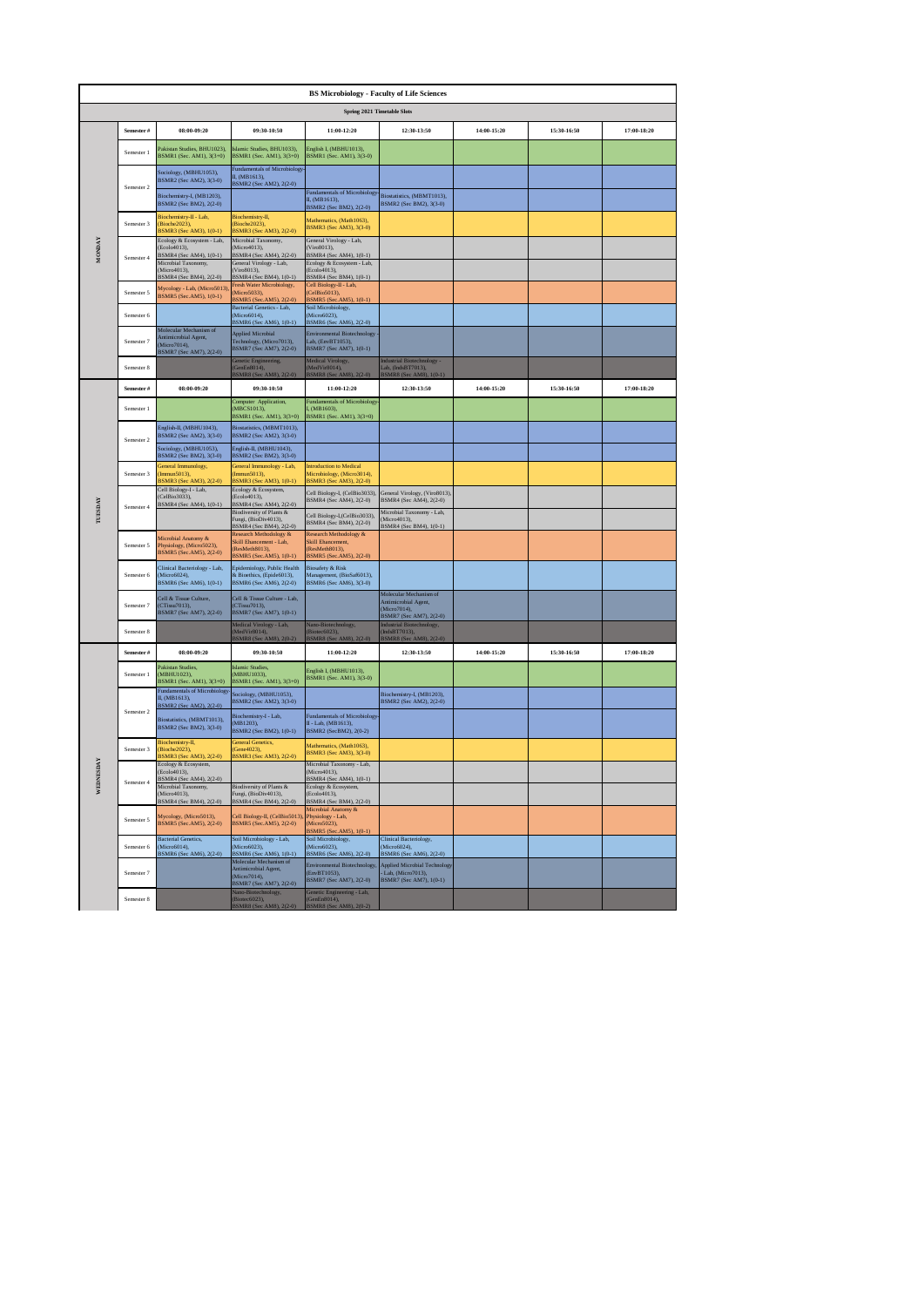|                | <b>BS Microbiology - Faculty of Life Sciences</b><br>Spring 2021 Timetable Slots |                                                                                           |                                                                                                |                                                                                                |                                                                                           |               |             |             |  |  |  |  |
|----------------|----------------------------------------------------------------------------------|-------------------------------------------------------------------------------------------|------------------------------------------------------------------------------------------------|------------------------------------------------------------------------------------------------|-------------------------------------------------------------------------------------------|---------------|-------------|-------------|--|--|--|--|
|                |                                                                                  |                                                                                           |                                                                                                |                                                                                                |                                                                                           |               |             |             |  |  |  |  |
|                | Semester#                                                                        | $08:00 - 09:20$                                                                           | 09:30-10:50                                                                                    | 11:00-12:20                                                                                    | 12:30-13:50                                                                               | $14:00-15:20$ | 15:30-16:50 | 17:00-18:20 |  |  |  |  |
|                | Semester 1                                                                       | Pakistan Studies, BHU1023).<br>BSMR1 (Sec. AM1), 3(3+0)                                   | Islamic Studies, BHU1033).<br>BSMR1 (Sec. AM1), 3(3+0)                                         | English I, (MBHU1013),<br>BSMR1 (Sec. AM1), 3(3-0)                                             |                                                                                           |               |             |             |  |  |  |  |
|                | Semester 2                                                                       | Sociology, (MBHU1053),<br>BSMR2 (Sec AM2), 3(3-0)                                         | <b>Fundamentals of Microbiology</b><br>II, (MB1613),<br>BSMR2 (Sec AM2), 2(2-0)                |                                                                                                |                                                                                           |               |             |             |  |  |  |  |
|                |                                                                                  | Biochemistry-I, (MB1203),<br>BSMR2 (Sec BM2), 2(2-0)                                      |                                                                                                | Fundamentals of Microbiology<br>II, (MB1613),<br>BSMR2 (Sec BM2), 2(2-0)                       | Biostatistics, (MBMT1013),<br>BSMR2 (Sec BM2), 3(3-0)                                     |               |             |             |  |  |  |  |
|                | Semester 3                                                                       | Biochemistry-II - Lab.<br>(Bioche2023).<br>3SMR3 (Sec AM3), 1(0-1)                        | Biochemistry-II.<br>(Bioche2023)<br>BSMR3 (Sec AM3), 2(2-0)                                    | Mathematics, (Math1063),<br>BSMR3 (Sec AM3), 3(3-0)                                            |                                                                                           |               |             |             |  |  |  |  |
| <b>MONDAY</b>  | Semester 4                                                                       | Ecology & Ecosystem - Lab,<br>(Ecolo4013),<br>BSMR4 (Sec AM4), 1(0-1)                     | Microbial Taxonomy,<br>(Micro4013),<br>BSMR4 (Sec AM4), 2(2-0)                                 | General Virology - Lab,<br>Viro8013),<br>BSMR4 (Sec AM4), 1(0-1)<br>Ecology & Ecosystem - Lab, |                                                                                           |               |             |             |  |  |  |  |
|                |                                                                                  | Microbial Taxonomy,<br>(Micro4013).<br>BSMR4 (Sec BM4), 2(2-0)                            | General Virology - Lab,<br>(Viro8013).<br>BSMR4 (Sec BM4), 1(0-1)<br>Fresh Water Microbiology, | (Ecolo4013),<br>BSMR4 (Sec BM4), 1(0-1)<br>Cell Biology-II - Lab,                              |                                                                                           |               |             |             |  |  |  |  |
|                | Semester 5                                                                       | Mycology - Lab, (Micro5013)<br>BSMR5 (Sec.AM5), 1(0-1)                                    | (Micro5033),<br>BSMR5 (Sec.AM5), 2(2-0)<br>Bacterial Genetics - Lab,                           | CelBio5013),<br>3SMR5 (Sec.AM5), 1(0-1)                                                        |                                                                                           |               |             |             |  |  |  |  |
|                | Semester 6                                                                       |                                                                                           | (Micro6014),<br>BSMR6 (Sec AM6), 1(0-1)                                                        | Soil Microbiology,<br>Micro6023),<br>BSMR6 (Sec AM6), 2(2-0)                                   |                                                                                           |               |             |             |  |  |  |  |
|                | Semester 7                                                                       | Molecular Mechanism of<br>Antimicrobial Agent,<br>(Micro7014).<br>BSMR7 (Sec AM7), 2(2-0) | <b>Applied Microbial</b><br>Technology, (Micro7013),<br>BSMR7 (Sec AM7), 2(2-0)                | Environmental Biotechnology<br>.ab, (EnvBT1053),<br>BSMR7 (Sec AM7), 1(0-1)                    |                                                                                           |               |             |             |  |  |  |  |
|                | Semester 8                                                                       |                                                                                           | Genetic Engineering,<br>(GenEn8014),                                                           | Medical Virology,<br>MedVir8014),                                                              | <b>Industrial Biotechnology</b><br>Lab, (IndsBT7013),                                     |               |             |             |  |  |  |  |
|                | Semester#                                                                        | 08:00-09:20                                                                               | <b>3SMR8 (Sec AM</b><br>09:30-10:50                                                            | <b>BSMR8 (Sec AM8</b><br>11:00-12:20                                                           | BSMR8 (Sec AM8), 1(0-1)<br>12:30-13:50                                                    | 14:00-15:20   | 15:30-16:50 | 17:00-18:20 |  |  |  |  |
|                | Semester 1                                                                       |                                                                                           | Computer Application,<br>(MBCS1013),<br>BSMR1 (Sec. AM1), 3(3+0)                               | Fundamentals of Microbiology<br>I, (MB1603),<br>BSMR1 (Sec. AM1), 3(3+0)                       |                                                                                           |               |             |             |  |  |  |  |
|                |                                                                                  | English-II, (MBHU1043),<br>BSMR2 (Sec AM2), 3(3-0)                                        | Biostatistics, (MBMT1013),<br>BSMR2 (Sec AM2), 3(3-0)                                          |                                                                                                |                                                                                           |               |             |             |  |  |  |  |
|                | Semester 2                                                                       | Sociology, (MBHU1053),<br>BSMR2 (Sec BM2), 3(3-0)                                         | English-II, (MBHU1043),<br>BSMR2 (Sec BM2), 3(3-0)                                             |                                                                                                |                                                                                           |               |             |             |  |  |  |  |
|                | Semester 3                                                                       | General Immunology,<br>Immun5013),<br>SMR3 (Sec AM3), 2(2-0)                              | General Immunology - Lab,<br>(Immun5013),<br>BSMR3 (Sec AM3), 1(0-1)                           | <b>Introduction to Medical</b><br>Microbiology, (Micro3014),<br>BSMR3 (Sec AM3), 2(2-0)        |                                                                                           |               |             |             |  |  |  |  |
|                | Semester 4                                                                       | Cell Biology-I - Lab,<br>(CelBio3033),<br>BSMR4 (Sec AM4), 1(0-1)                         | Ecology & Ecosystem,<br>(Ecolo4013).<br>BSMR4 (Sec AM4), 2(2-0)                                | Cell Biology-I, (CelBio3033),<br>BSMR4 (Sec AM4), 2(2-0)                                       | General Virology, (Viro8013),<br>BSMR4 (Sec AM4), 2(2-0)                                  |               |             |             |  |  |  |  |
| <b>TUESDAY</b> |                                                                                  |                                                                                           | <b>Biodiversity of Plants &amp;</b><br>Eungi (BioDiv4013)<br>BSMR4 (Sec BM4), 2(2-0)           | Cell Biology-I,(CelBio3033),<br>BSMR4 (Sec BM4), 2(2-0)                                        | Microbial Taxonomy - Lab,<br>(Micro4013)<br>BSMR4 (Sec BM4), 1(0-1)                       |               |             |             |  |  |  |  |
|                | Semester 5                                                                       | Microbial Anatomy &<br>Physiology, (Micro5023),<br>BSMR5 (Sec.AM5), 2(2-0)                | Research Methodology &<br>Skill Ehancement - Lab,<br>(ResMeth8013),<br>BSMR5 (Sec.AM5), 1(0-1) | Research Methodology &<br>Skill Ehancement,<br>ResMeth8013),<br>BSMR5 (Sec.AM5), 2(2-0)        |                                                                                           |               |             |             |  |  |  |  |
|                | Semester 6                                                                       | Clinical Bacteriology - Lab,<br>(Micro6024),<br>BSMR6 (Sec AM6), 1(0-1)                   | Epidemiology, Public Health<br>& Bioethics, (Epide6013),<br>BSMR6 (Sec AM6), 2(2-0)            | <b>Biosafety &amp; Risk</b><br>Management, (BioSaf6013),<br>BSMR6 (Sec AM6), 3(3-0)            |                                                                                           |               |             |             |  |  |  |  |
|                | Semester 7                                                                       | Cell & Tissue Culture.<br>(CTissu7013).<br>BSMR7 (Sec AM7), 2(2-0)                        | Cell & Tissue Culture - Lab,<br>(CTissu7013).<br>BSMR7 (Sec AM7), 1(0-1)                       |                                                                                                | Molecular Mechanism of<br>Antimicrobial Agent,<br>(Micro7014),<br>BSMR7 (Sec AM7), 2(2-0) |               |             |             |  |  |  |  |
|                | Semester 8                                                                       |                                                                                           | Medical Virology - Lab,<br>MedVir8014).                                                        | Vano-Biotechnology,<br>Biotec6023),                                                            | Industrial Biotechnology,<br>IndsBT7013),                                                 |               |             |             |  |  |  |  |
|                | Semester#                                                                        | 08:00-09:20                                                                               | SMR8 (Sec AM<br>09:30-10:50                                                                    | <b>SMR8 (S</b><br>11:00-12:20                                                                  | 12:30-13:50                                                                               | 14:00-15:20   | 15:30-16:50 | 17:00-18:20 |  |  |  |  |
|                | Semester 1                                                                       | Pakistan Studies,<br>(MBHU1023),<br>BSMR1 (Sec. AM1), 3(3+0)                              | <b>Islamic Studies</b> ,<br>(MBHU1033),<br>BSMR1 (Sec. AM1), 3(3+0)                            | English I. (MBHU1013).<br>BSMR1 (Sec. AM1), 3(3-0)                                             |                                                                                           |               |             |             |  |  |  |  |
|                |                                                                                  | Fundamentals of Microbiology<br>II. (MB1613).<br>BSMR2 (Sec AM2), 2(2-0)                  | Sociology, (MBHU1053),<br>BSMR2 (Sec AM2), 3(3-0)                                              |                                                                                                | Biochemistry-I, (MB1203),<br>BSMR2 (Sec AM2), 2(2-0)                                      |               |             |             |  |  |  |  |
|                | Semester 2                                                                       | Biostatistics, (MBMT1013),<br>BSMR2 (Sec BM2), 3(3-0)                                     | Biochemistry-I - Lab,<br>(MB1203),<br>BSMR2 (Sec BM2), 1(0-1)                                  | <b>Fundamentals of Microbiology</b><br>II - Lab, (MB1613),<br>BSMR2 (SecBM2), 2(0-2)           |                                                                                           |               |             |             |  |  |  |  |
|                | Semester 3                                                                       | Biochemistry-II,<br>Bioche2023),<br>SMR3 (Sec AM3), 2(2-0)                                | <b>General Genetics,</b><br>Gene4023).<br>BSMR3 (Sec AM3), 2(2-0)                              | Mathematics, (Math1063),<br>BSMR3 (Sec AM3), 3(3-0)                                            |                                                                                           |               |             |             |  |  |  |  |
| <b>ESDAY</b>   | Semester 4                                                                       | Ecology & Ecosystem,<br>(Ecolo4013),<br>SMR4 (Sec AM4), 2                                 |                                                                                                | Microbial Taxonomy - Lab,<br>Micro4013),<br>BSMR4 (Sec AM4), 1(0-1)                            |                                                                                           |               |             |             |  |  |  |  |
| WEDN           |                                                                                  | Microbial Taxonomy,<br>(Microd 013)<br>BSMR4 (Sec BM4), 2(2-0)                            | Biodiversity of Plants &<br>Fungi, (BioDiv4013).<br>BSMR4 (Sec BM4), 2(2-0)                    | Ecology & Ecosystem,<br>(Ecolo4013),<br>BSMR4 (Sec BM4), 2(2-0)                                |                                                                                           |               |             |             |  |  |  |  |
|                | Semester 5                                                                       | Mycology, (Micro5013),<br>BSMR5 (Sec.AM5), 2(2-0)                                         | Cell Biology-II, (CelBio5013)<br>BSMR5 (Sec.AM5), 2(2-0)                                       | Microbial Anatomy &<br>Physiology - Lab,<br>(Micro5023),<br>BSMR5 (Sec.AM5), 1(0-1)            |                                                                                           |               |             |             |  |  |  |  |
|                | Semester 6                                                                       | <b>Bacterial Genetics,</b><br>(Micro6014),<br>BSMR6 (Sec AM6), 2(2-0)                     | Soil Microbiology - Lab,<br>(Micro6023),<br>BSMR6 (Sec AM6), 1(0-1)                            | Soil Microbiology,<br>(Micro6023),<br>BSMR6 (Sec AM6), 2(2-0)                                  | Clinical Bacteriology,<br>(Micro6024),<br>BSMR6 (Sec AM6), 2(2-0)                         |               |             |             |  |  |  |  |
|                | Semester 7                                                                       |                                                                                           | Molecular Mechanism of<br>Antimicrobial Agent,<br>(Micro7014),                                 | Environmental Biotechnology,<br>(EnvBT1053),<br>BSMR7 (Sec AM7), 2(2-0)                        | <b>Applied Microbial Technology</b><br>Lab, (Micro7013),<br>BSMR7 (Sec AM7), 1(0-1)       |               |             |             |  |  |  |  |
|                | Semester 8                                                                       |                                                                                           | BSMR7 (Sec AM7), 2(2-0)<br>Nano-Biotechnology,<br>(Biotec6023),<br>BSMR8 (Sec AM8), 2(2-0)     | Genetic Engineering - Lab,<br>GenEn8014),<br>BSMR8 (Sec AM8), 2(0-2)                           |                                                                                           |               |             |             |  |  |  |  |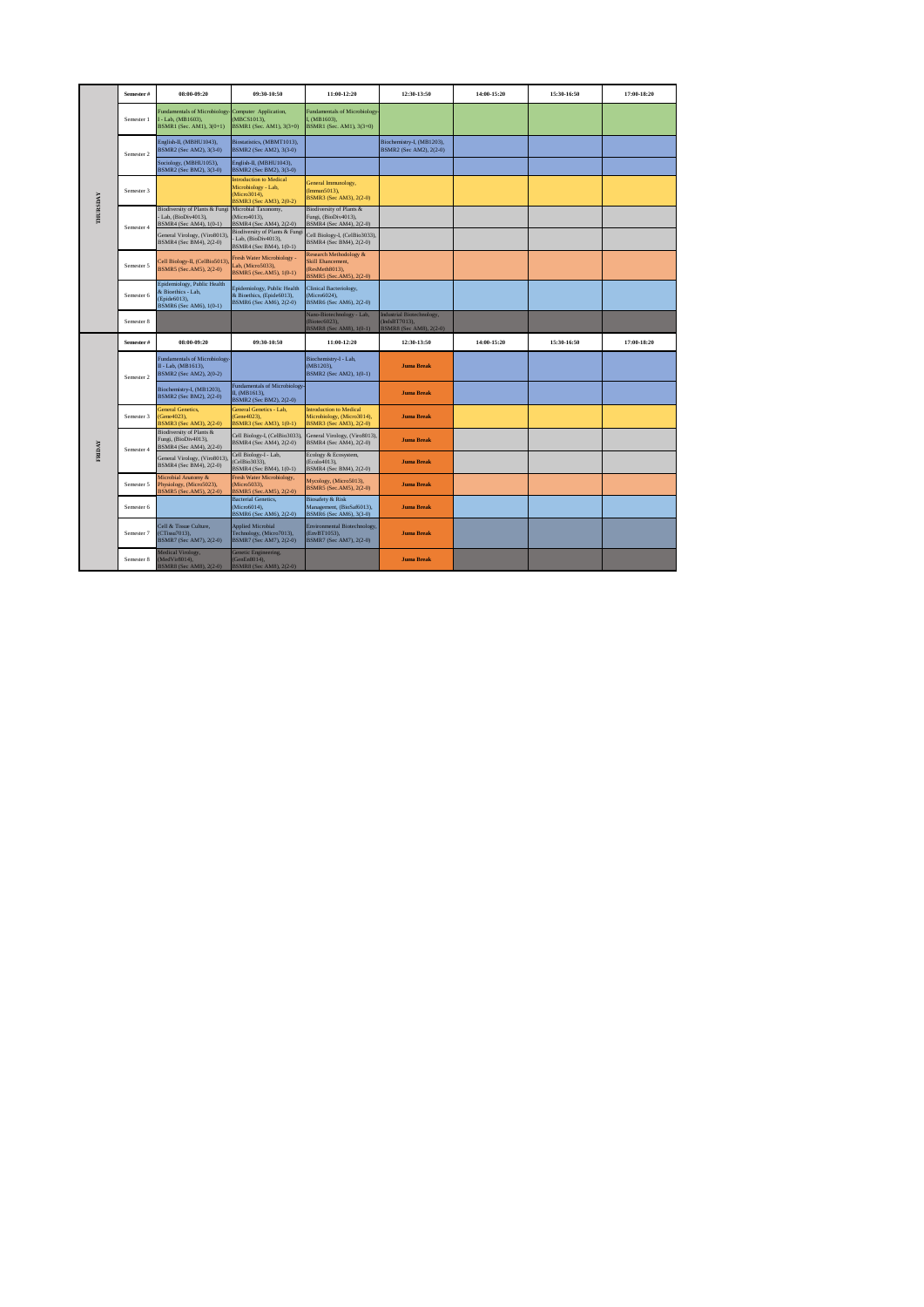|          | Semester#  | 08:00-09:20                                                                                  | 09:30-10:50                                                                                      | 11:00-12:20                                                                                     | 12:30-13:50                                                           | 14:00-15:20 | 15:30-16:50 | 17:00-18:20 |
|----------|------------|----------------------------------------------------------------------------------------------|--------------------------------------------------------------------------------------------------|-------------------------------------------------------------------------------------------------|-----------------------------------------------------------------------|-------------|-------------|-------------|
|          | Semester 1 | <b>Fundamentals of Microbiology</b><br>- Lab, (MB1603),<br>BSMR1 (Sec. AM1), 3(0+1)          | Computer Application,<br>(MBCS1013),<br>BSMR1 (Sec. AM1), 3(3+0)                                 | <b>Fundamentals of Microbiology-</b><br>I, (MB1603).<br>BSMR1 (Sec. AM1), 3(3+0)                |                                                                       |             |             |             |
|          | Semester 2 | English-II, (MBHU1043),<br>BSMR2 (Sec AM2), 3(3-0)                                           | Biostatistics, (MBMT1013),<br>BSMR2 (Sec AM2), 3(3-0)                                            |                                                                                                 | Biochemistry-I, (MB1203),<br>BSMR2 (Sec AM2), 2(2-0)                  |             |             |             |
|          |            | Sociology, (MBHU1053),<br>BSMR2 (Sec BM2), 3(3-0)                                            | English-II, (MBHU1043),<br>BSMR2 (Sec BM2), 3(3-0)                                               |                                                                                                 |                                                                       |             |             |             |
|          | Semester 3 |                                                                                              | <b>Introduction to Medical</b><br>Microbiology - Lab,<br>(Micro3014),<br>BSMR3 (Sec AM3), 2(0-2) | General Immunology,<br>(Immun5013),<br>BSMR3 (Sec AM3), 2(2-0)                                  |                                                                       |             |             |             |
| THURSDAY | Semester 4 | <b>Biodiversity of Plants &amp; Fungi</b><br>Lab, (BioDiv4013),<br>BSMR4 (Sec AM4), 1(0-1)   | Microbial Taxonomy,<br>(Micro4013),<br>BSMR4 (Sec AM4), 2(2-0)                                   | Biodiversity of Plants &<br>Fungi, (BioDiv4013),<br>BSMR4 (Sec AM4), 2(2-0)                     |                                                                       |             |             |             |
|          |            | General Virology, (Viro8013),<br>BSMR4 (Sec BM4), 2(2-0)                                     | Biodiversity of Plants & Fungi<br>Lab, (BioDiv4013),<br>BSMR4 (Sec BM4), 1(0-1)                  | Cell Biology-I, (CelBio3033),<br>BSMR4 (Sec BM4), 2(2-0)                                        |                                                                       |             |             |             |
|          | Semester 5 | Cell Biology-II, (CelBio5013)<br>BSMR5 (Sec.AM5), 2(2-0)                                     | Fresh Water Microbiology -<br>Lab, (Micro5033),<br>BSMR5 (Sec.AM5), 1(0-1)                       | Research Methodology &<br><b>Skill Ehancement.</b><br>(ResMeth8013).<br>BSMR5 (Sec.AM5), 2(2-0) |                                                                       |             |             |             |
|          | Semester 6 | Epidemiology, Public Health<br>& Bioethics - Lab,<br>(Epide6013),<br>BSMR6 (Sec AM6), 1(0-1) | Epidemiology, Public Health<br>& Bioethics, (Epide6013),<br>BSMR6 (Sec AM6), 2(2-0)              | Clinical Bacteriology,<br>(Micro6024),<br>BSMR6 (Sec AM6), 2(2-0)                               |                                                                       |             |             |             |
|          | Semester 8 |                                                                                              |                                                                                                  | Nano-Biotechnology - Lab,<br>(Biotec6023).<br>BSMR8 (Sec AM8), 1(0-1)                           | Industrial Biotechnology,<br>(IndsBT7013).<br>BSMR8 (Sec AM8), 2(2-0) |             |             |             |
|          | Semester#  | 08:00-09:20                                                                                  | 09:30-10:50                                                                                      | 11:00-12:20                                                                                     | 12:30-13:50                                                           | 14:00-15:20 | 15:30-16:50 | 17:00-18:20 |
|          | Semester 2 | <b>Fundamentals of Microbiology</b><br>II - Lab, (MB1613),<br>BSMR2 (Sec AM2), 2(0-2)        |                                                                                                  | Biochemistry-I - Lab,<br>(MB1203).<br>BSMR2 (Sec AM2), 1(0-1)                                   | <b>Juma Break</b>                                                     |             |             |             |
|          |            | Biochemistry-I, (MB1203),<br>BSMR2 (Sec BM2), 2(2-0)                                         | <b>Fundamentals of Microbiology-</b><br>II. (MB1613).<br>BSMR2 (Sec BM2), 2(2-0)                 |                                                                                                 | <b>Juma Break</b>                                                     |             |             |             |
|          | Semester 3 | <b>General Genetics.</b><br>Gene4023).<br>BSMR3 (Sec AM3), 2(2-0)                            | General Genetics - Lab.<br>(Gene4023).<br>BSMR3 (Sec AM3), 1(0-1)                                | <b>Introduction to Medical</b><br>Microbiology, (Micro3014),<br>BSMR3 (Sec AM3), 2(2-0)         | <b>Juma Break</b>                                                     |             |             |             |
|          | Semester 4 | <b>Biodiversity of Plants &amp;</b><br>Fungi, (BioDiv4013),<br>BSMR4 (Sec AM4), 2(2-0)       | Cell Biology-I, (CelBio3033),<br>BSMR4 (Sec AM4), 2(2-0)                                         | General Virology, (Viro8013),<br>BSMR4 (Sec AM4), 2(2-0)                                        | <b>Juma Break</b>                                                     |             |             |             |
| FRIDAY   |            | General Virology, (Viro8013),<br>BSMR4 (Sec BM4), 2(2-0)                                     | Cell Biology-I - Lab,<br>(CelBio3033),<br>BSMR4 (Sec BM4), 1(0-1)                                | Ecology & Ecosystem,<br>(Ecolo4013).<br>BSMR4 (Sec BM4), 2(2-0)                                 | <b>Juma Break</b>                                                     |             |             |             |
|          | Semester 5 | Microbial Anatomy &<br>Physiology, (Micro5023),<br>3SMR5 (Sec.AM5), 2(2-0)                   | Fresh Water Microbiology,<br>(Micro5033).<br>BSMR5 (Sec.AM5), 2(2-0)                             | Mycology, (Micro5013),<br>BSMR5 (Sec.AM5), 2(2-0)                                               | <b>Juma Break</b>                                                     |             |             |             |
|          | Semester 6 |                                                                                              | <b>Bacterial Genetics,</b><br>(Micro6014).<br>BSMR6 (Sec AM6), 2(2-0)                            | <b>Biosafety &amp; Risk</b><br>Management, (BioSaf6013),<br>BSMR6 (Sec AM6), 3(3-0)             | <b>Juma Break</b>                                                     |             |             |             |
|          | Semester 7 | Cell & Tissue Culture.<br>(CTissu7013),<br>BSMR7 (Sec AM7), 2(2-0)                           | <b>Applied Microbial</b><br>Technology, (Micro7013),<br>BSMR7 (Sec AM7), 2(2-0)                  | Environmental Biotechnology,<br>(EnvBT1053),<br>BSMR7 (Sec AM7), 2(2-0)                         | <b>Juma Break</b>                                                     |             |             |             |
|          | Semester 8 | Medical Virology,<br>MedVir8014),<br>3SMR8 (Sec AM8), 2(2-0)                                 | Genetic Engineering.<br>(GenEn8014),<br>BSMR8 (Sec AM8), 2(2-0)                                  |                                                                                                 | <b>Juma Break</b>                                                     |             |             |             |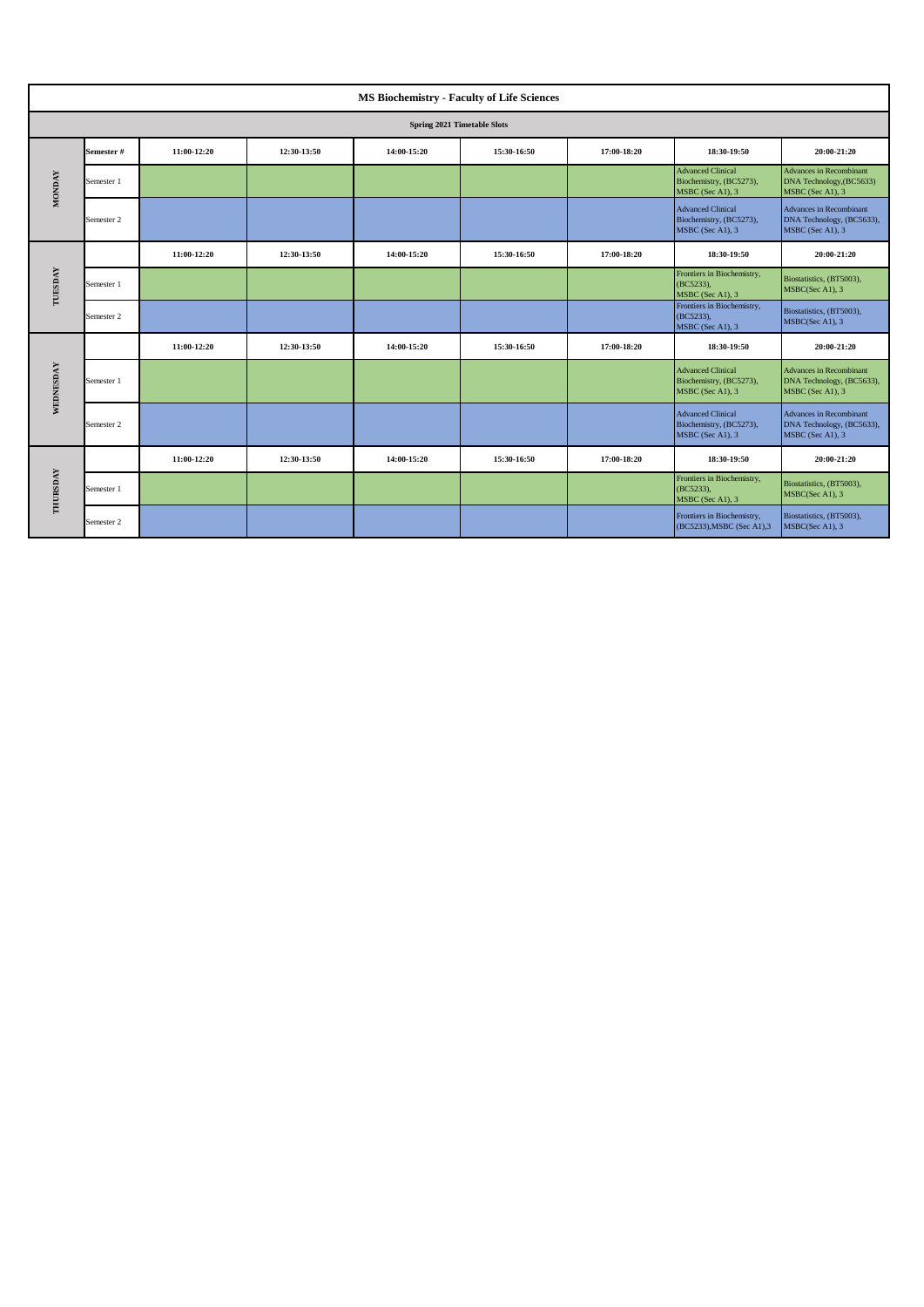|               |                             |             |             | <b>MS Biochemistry - Faculty of Life Sciences</b> |             |             |                                                                         |                                                                                 |  |  |
|---------------|-----------------------------|-------------|-------------|---------------------------------------------------|-------------|-------------|-------------------------------------------------------------------------|---------------------------------------------------------------------------------|--|--|
|               | Spring 2021 Timetable Slots |             |             |                                                   |             |             |                                                                         |                                                                                 |  |  |
|               | Semester#                   | 11:00-12:20 | 12:30-13:50 | 14:00-15:20                                       | 15:30-16:50 | 17:00-18:20 | 18:30-19:50                                                             | 20:00-21:20                                                                     |  |  |
| <b>MONDAY</b> | Semester 1                  |             |             |                                                   |             |             | <b>Advanced Clinical</b><br>Biochemistry, (BC5273),<br>MSBC (Sec A1), 3 | <b>Advances in Recombinant</b><br>DNA Technology, (BC5633)<br>MSBC (Sec A1), 3  |  |  |
|               | Semester 2                  |             |             |                                                   |             |             | <b>Advanced Clinical</b><br>Biochemistry, (BC5273),<br>MSBC (Sec A1), 3 | Advances in Recombinant<br>DNA Technology, (BC5633),<br>MSBC (Sec A1), 3        |  |  |
|               |                             | 11:00-12:20 | 12:30-13:50 | 14:00-15:20                                       | 15:30-16:50 | 17:00-18:20 | 18:30-19:50                                                             | 20:00-21:20                                                                     |  |  |
| TUESDAY       | Semester 1                  |             |             |                                                   |             |             | Frontiers in Biochemistry,<br>(BC5233),<br>MSBC (Sec A1), 3             | Biostatistics, (BT5003),<br>MSBC(Sec A1), 3                                     |  |  |
|               | Semester 2                  |             |             |                                                   |             |             | Frontiers in Biochemistry,<br>(BC5233),<br>MSBC (Sec A1), 3             | Biostatistics, (BT5003),<br>MSBC(Sec A1), 3                                     |  |  |
|               |                             | 11:00-12:20 | 12:30-13:50 | 14:00-15:20                                       | 15:30-16:50 | 17:00-18:20 | 18:30-19:50                                                             | 20:00-21:20                                                                     |  |  |
| WEDNESDAY     | Semester 1                  |             |             |                                                   |             |             | <b>Advanced Clinical</b><br>Biochemistry, (BC5273),<br>MSBC (Sec A1), 3 | <b>Advances in Recombinant</b><br>DNA Technology, (BC5633),<br>MSBC (Sec A1), 3 |  |  |
|               | Semester 2                  |             |             |                                                   |             |             | <b>Advanced Clinical</b><br>Biochemistry, (BC5273),<br>MSBC (Sec A1), 3 | Advances in Recombinant<br>DNA Technology, (BC5633),<br>MSBC (Sec A1), 3        |  |  |
| THURSDAY      |                             | 11:00-12:20 | 12:30-13:50 | 14:00-15:20                                       | 15:30-16:50 | 17:00-18:20 | 18:30-19:50                                                             | 20:00-21:20                                                                     |  |  |
|               | Semester 1                  |             |             |                                                   |             |             | Frontiers in Biochemistry,<br>(BC5233),<br>MSBC (Sec A1), 3             | Biostatistics, (BT5003),<br>MSBC(Sec A1), 3                                     |  |  |
|               | Semester 2                  |             |             |                                                   |             |             | Frontiers in Biochemistry,<br>(BC5233), MSBC (Sec A1), 3                | Biostatistics, (BT5003),<br>MSBC(Sec A1), 3                                     |  |  |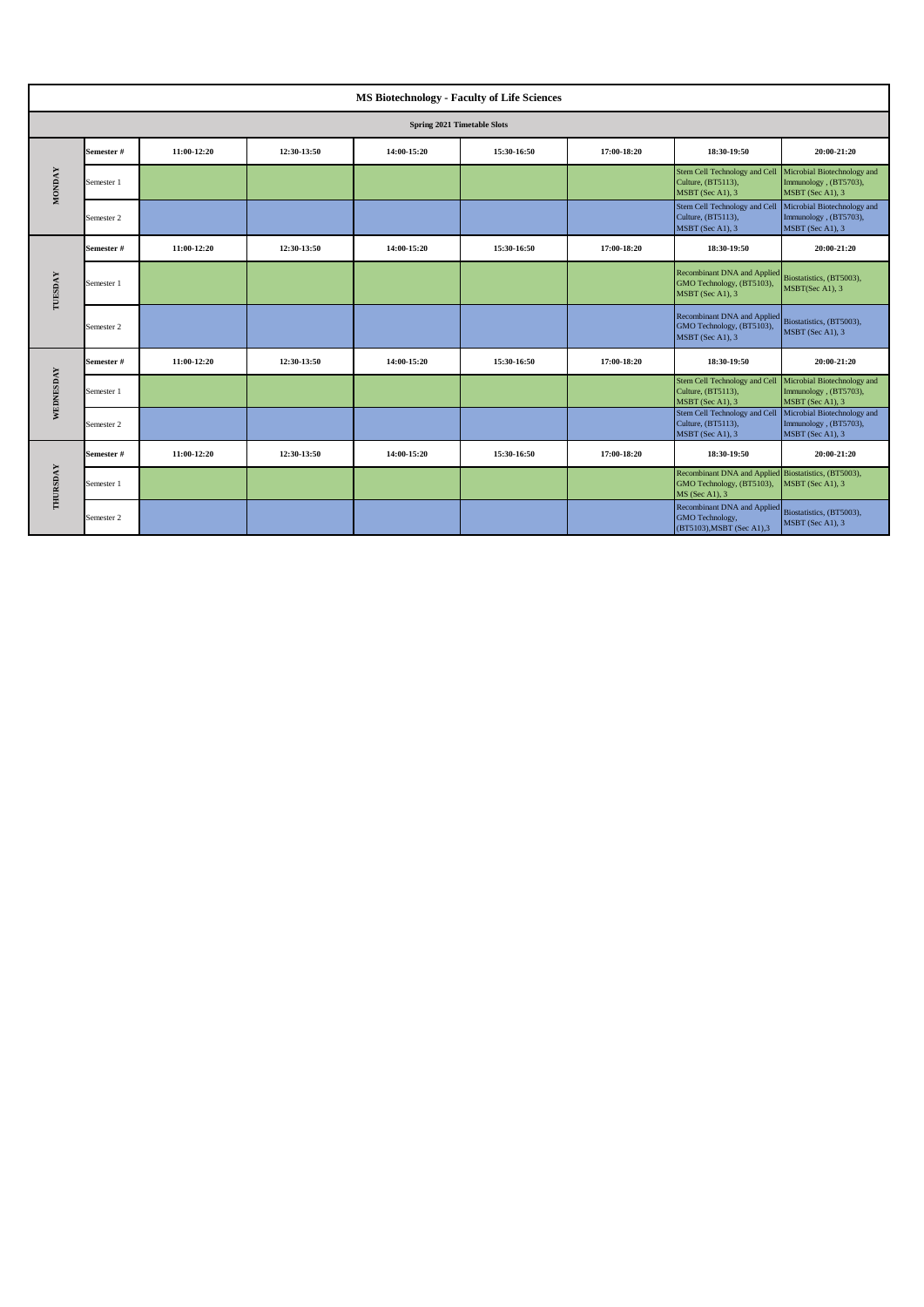|               |            |             |             | <b>MS Biotechnology - Faculty of Life Sciences</b> |             |             |                                                                                                     |                                                                          |
|---------------|------------|-------------|-------------|----------------------------------------------------|-------------|-------------|-----------------------------------------------------------------------------------------------------|--------------------------------------------------------------------------|
|               |            |             |             | Spring 2021 Timetable Slots                        |             |             |                                                                                                     |                                                                          |
|               | Semester#  | 11:00-12:20 | 12:30-13:50 | 14:00-15:20                                        | 15:30-16:50 | 17:00-18:20 | 18:30-19:50                                                                                         | 20:00-21:20                                                              |
| <b>MONDAY</b> | Semester 1 |             |             |                                                    |             |             | Stem Cell Technology and Cell<br>Culture, (BT5113),<br>MSBT (Sec A1), 3                             | Microbial Biotechnology and<br>Immunology, (BT5703),<br>MSBT (Sec A1), 3 |
|               | Semester 2 |             |             |                                                    |             |             | Stem Cell Technology and Cell<br>Culture, (BT5113),<br>MSBT (Sec A1), 3                             | Microbial Biotechnology and<br>Immunology, (BT5703),<br>MSBT (Sec A1), 3 |
|               | Semester#  | 11:00-12:20 | 12:30-13:50 | 14:00-15:20                                        | 15:30-16:50 | 17:00-18:20 | 18:30-19:50                                                                                         | 20:00-21:20                                                              |
| TUESDAY       | Semester 1 |             |             |                                                    |             |             | <b>Recombinant DNA and Applied</b><br>GMO Technology, (BT5103),<br>MSBT (Sec A1), 3                 | Biostatistics, (BT5003),<br>MSBT(Sec A1), 3                              |
|               | Semester 2 |             |             |                                                    |             |             | Recombinant DNA and Applied<br>GMO Technology, (BT5103),<br>MSBT (Sec A1), 3                        | Biostatistics, (BT5003),<br>MSBT (Sec A1), 3                             |
|               | Semester#  | 11:00-12:20 | 12:30-13:50 | 14:00-15:20                                        | 15:30-16:50 | 17:00-18:20 | 18:30-19:50                                                                                         | 20:00-21:20                                                              |
| WEDNESDAY     | Semester 1 |             |             |                                                    |             |             | Stem Cell Technology and Cell<br>Culture, (BT5113),<br>MSBT (Sec A1), 3                             | Microbial Biotechnology and<br>Immunology, (BT5703),<br>MSBT (Sec A1), 3 |
|               | Semester 2 |             |             |                                                    |             |             | Stem Cell Technology and Cell<br>Culture, (BT5113),<br>MSBT (Sec A1), 3                             | Microbial Biotechnology and<br>Immunology, (BT5703),<br>MSBT (Sec A1), 3 |
| THURSDAY      | Semester#  | 11:00-12:20 | 12:30-13:50 | 14:00-15:20                                        | 15:30-16:50 | 17:00-18:20 | 18:30-19:50                                                                                         | 20:00-21:20                                                              |
|               | Semester 1 |             |             |                                                    |             |             | Recombinant DNA and Applied Biostatistics, (BT5003),<br>GMO Technology, (BT5103),<br>MS (Sec A1), 3 | MSBT (Sec A1), 3                                                         |
|               | Semester 2 |             |             |                                                    |             |             | Recombinant DNA and Applied<br>GMO Technology,<br>(BT5103), MSBT (Sec A1), 3                        | Biostatistics, (BT5003),<br>MSBT (Sec A1), 3                             |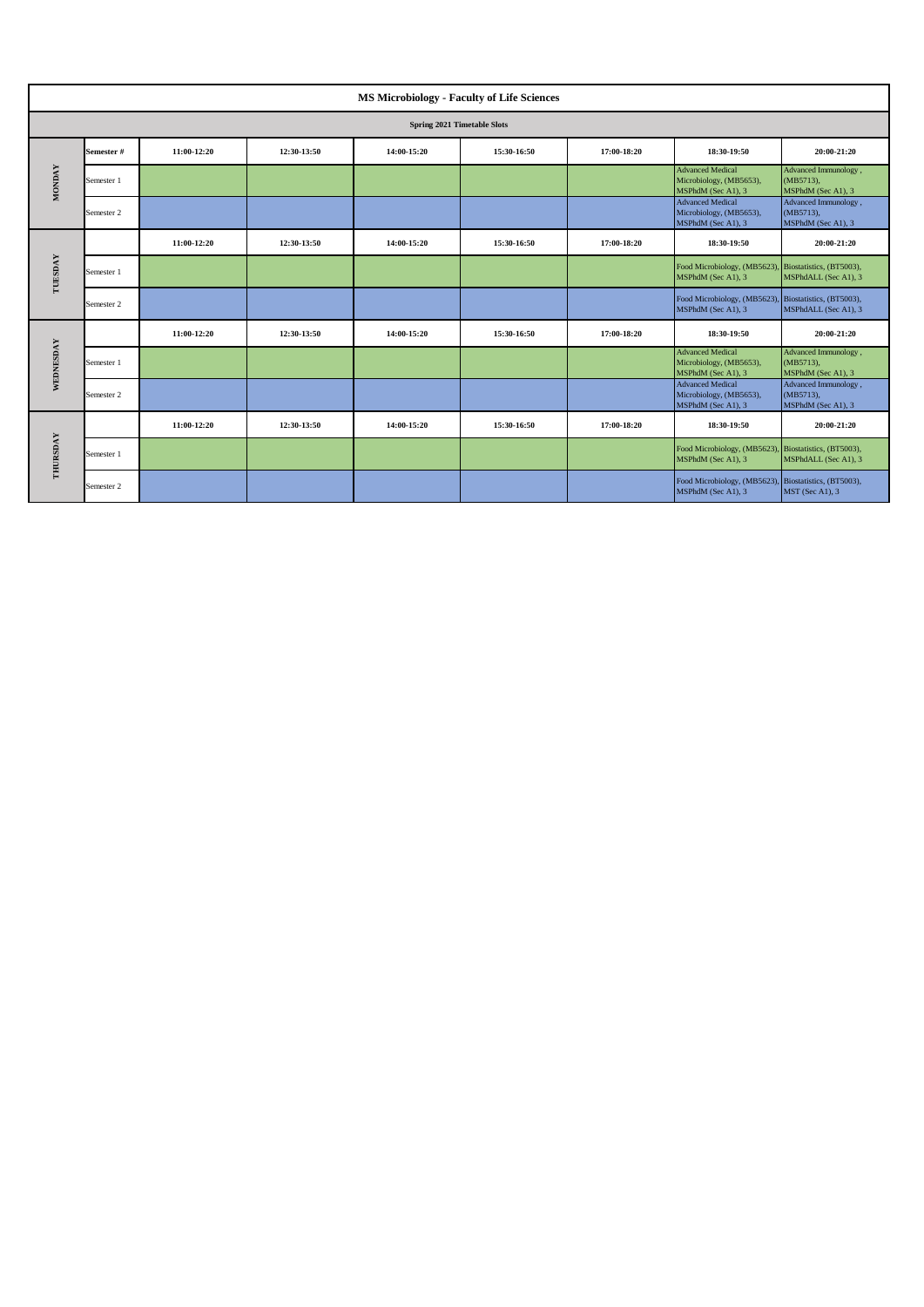|               |                             |             |             | <b>MS Microbiology - Faculty of Life Sciences</b> |             |             |                                                                             |                                                            |  |  |  |
|---------------|-----------------------------|-------------|-------------|---------------------------------------------------|-------------|-------------|-----------------------------------------------------------------------------|------------------------------------------------------------|--|--|--|
|               | Spring 2021 Timetable Slots |             |             |                                                   |             |             |                                                                             |                                                            |  |  |  |
|               | Semester#                   | 11:00-12:20 | 12:30-13:50 | 14:00-15:20                                       | 15:30-16:50 | 17:00-18:20 | 18:30-19:50                                                                 | 20:00-21:20                                                |  |  |  |
| <b>MONDAY</b> | Semester 1                  |             |             |                                                   |             |             | <b>Advanced Medical</b><br>Microbiology, (MB5653),<br>MSPhdM (Sec A1), 3    | Advanced Immunology,<br>(MB5713),<br>MSPhdM (Sec A1), 3    |  |  |  |
|               | Semester 2                  |             |             |                                                   |             |             | <b>Advanced Medical</b><br>Microbiology, (MB5653),<br>MSPhdM (Sec A1), 3    | Advanced Immunology,<br>$(MB5713)$ ,<br>MSPhdM (Sec A1), 3 |  |  |  |
|               |                             | 11:00-12:20 | 12:30-13:50 | 14:00-15:20                                       | 15:30-16:50 | 17:00-18:20 | 18:30-19:50                                                                 | 20:00-21:20                                                |  |  |  |
| TUESDAY       | Semester 1                  |             |             |                                                   |             |             | Food Microbiology, (MB5623), Biostatistics, (BT5003),<br>MSPhdM (Sec A1), 3 | MSPhdALL (Sec A1), 3                                       |  |  |  |
|               | Semester 2                  |             |             |                                                   |             |             | Food Microbiology, (MB5623), Biostatistics, (BT5003),<br>MSPhdM (Sec A1), 3 | MSPhdALL (Sec A1), 3                                       |  |  |  |
|               |                             | 11:00-12:20 | 12:30-13:50 | 14:00-15:20                                       | 15:30-16:50 | 17:00-18:20 | 18:30-19:50                                                                 | 20:00-21:20                                                |  |  |  |
| WEDNESDAY     | Semester 1                  |             |             |                                                   |             |             | <b>Advanced Medical</b><br>Microbiology, (MB5653),<br>MSPhdM (Sec A1), 3    | Advanced Immunology,<br>(MB5713),<br>MSPhdM (Sec A1), 3    |  |  |  |
|               | Semester 2                  |             |             |                                                   |             |             | <b>Advanced Medical</b><br>Microbiology, (MB5653),<br>MSPhdM (Sec A1), 3    | Advanced Immunology,<br>$(MB5713)$ ,<br>MSPhdM (Sec A1), 3 |  |  |  |
| THURSDAY      |                             | 11:00-12:20 | 12:30-13:50 | 14:00-15:20                                       | 15:30-16:50 | 17:00-18:20 | 18:30-19:50                                                                 | 20:00-21:20                                                |  |  |  |
|               | Semester 1                  |             |             |                                                   |             |             | Food Microbiology, (MB5623),<br>MSPhdM (Sec A1), 3                          | Biostatistics, (BT5003),<br>MSPhdALL (Sec A1), 3           |  |  |  |
|               | Semester 2                  |             |             |                                                   |             |             | Food Microbiology, (MB5623), Biostatistics, (BT5003),<br>MSPhdM (Sec A1), 3 | MST (Sec A1), 3                                            |  |  |  |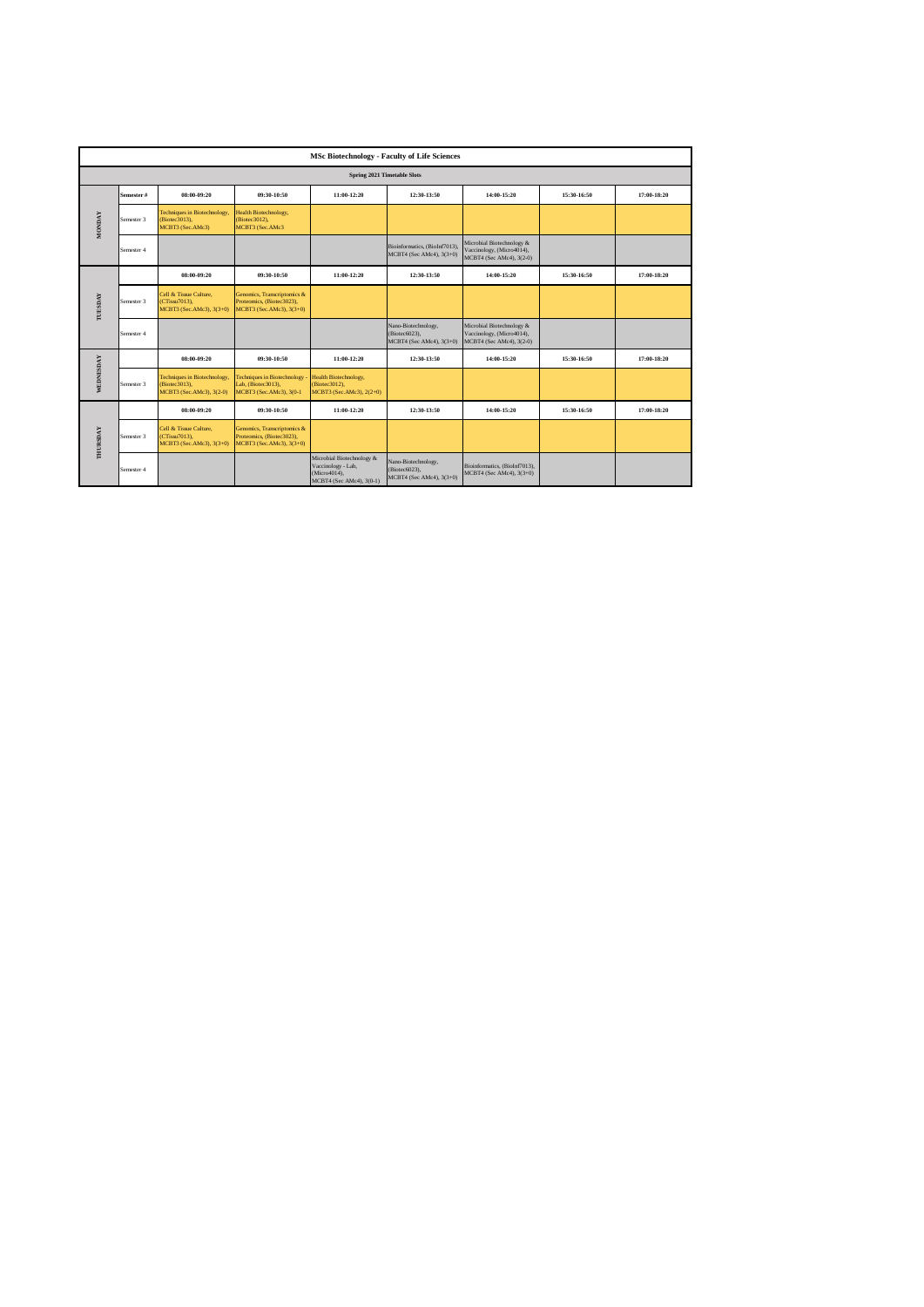|                |            |                                                                           |                                                                                      |                                                                                             | <b>MSc Biotechnology - Faculty of Life Sciences</b>              |                                                                                    |             |             |  |  |  |
|----------------|------------|---------------------------------------------------------------------------|--------------------------------------------------------------------------------------|---------------------------------------------------------------------------------------------|------------------------------------------------------------------|------------------------------------------------------------------------------------|-------------|-------------|--|--|--|
|                |            |                                                                           |                                                                                      |                                                                                             | <b>Spring 2021 Timetable Slots</b>                               |                                                                                    |             |             |  |  |  |
|                | Semester#  | 08:00-09:20                                                               | 09:30-10:50                                                                          | 11:00-12:20                                                                                 | 12:30-13:50                                                      | 14:00-15:20                                                                        | 15:30-16:50 | 17:00-18:20 |  |  |  |
| <b>MONDAY</b>  | Semester 3 | Techniques in Biotechnology,<br>Biotec3013),<br>MCBT3 (Sec.AMc3)          | Health Biotechnology,<br>(Biotec3012),<br>MCBT3 (Sec.AMc3                            |                                                                                             |                                                                  |                                                                                    |             |             |  |  |  |
|                | Semester 4 |                                                                           |                                                                                      |                                                                                             | Bioinformatics, (BioInf7013),<br>MCBT4 (Sec AMc4), 3(3+0)        | Microbial Biotechnology &<br>Vaccinology, (Micro4014),<br>MCBT4 (Sec AMc4), 3(2-0) |             |             |  |  |  |
|                |            | 08:00-09:20                                                               | 09:30-10:50                                                                          | 11:00-12:20                                                                                 | 12:30-13:50                                                      | 14:00-15:20                                                                        | 15:30-16:50 | 17:00-18:20 |  |  |  |
| <b>TUESDAY</b> | Semester 3 | Cell & Tissue Culture.<br>CTissu7013),<br>MCBT3 (Sec.AMc3), 3(3+0)        | Genomics, Transcriptomics &<br>Proteomics, (Biotec3023),<br>MCBT3 (Sec.AMc3), 3(3+0) |                                                                                             |                                                                  |                                                                                    |             |             |  |  |  |
|                | Semester 4 |                                                                           |                                                                                      |                                                                                             | Nano-Biotechnology,<br>(Biotec6023),<br>MCBT4 (Sec AMc4), 3(3+0) | Microbial Biotechnology &<br>Vaccinology, (Micro4014),<br>MCBT4 (Sec AMc4), 3(2-0) |             |             |  |  |  |
|                |            | 08:00-09:20                                                               | 09:30-10:50                                                                          | 11:00-12:20                                                                                 | 12:30-13:50                                                      | 14:00-15:20                                                                        | 15:30-16:50 | 17:00-18:20 |  |  |  |
| WEDNESDAY      | Semester 3 | Techniques in Biotechnology,<br>(Biotec3013),<br>MCBT3 (Sec.AMc3), 3(2-0) | <b>Techniques in Biotechnology</b><br>Lab, (Biotec3013),<br>MCBT3 (Sec.AMc3), 3(0-1  | Health Biotechnology,<br>(Biotec3012),<br>MCBT3 (Sec.AMc3), 2(2+0)                          |                                                                  |                                                                                    |             |             |  |  |  |
|                |            | 08:00-09:20                                                               | 09:30-10:50                                                                          | 11:00-12:20                                                                                 | 12:30-13:50                                                      | 14:00-15:20                                                                        | 15:30-16:50 | 17:00-18:20 |  |  |  |
| THURSDAY       | Semester 3 | Cell & Tissue Culture,<br>CTissu7013).<br>MCBT3 (Sec.AMc3), 3(3+0)        | Genomics, Transcriptomics &<br>Proteomics, (Biotec3023),<br>MCBT3 (Sec.AMc3), 3(3+0) |                                                                                             |                                                                  |                                                                                    |             |             |  |  |  |
|                | Semester 4 |                                                                           |                                                                                      | Microbial Biotechnology &<br>Vaccinology - Lab,<br>(Micro4014),<br>MCBT4 (Sec AMc4), 3(0-1) | Nano-Biotechnology,<br>(Biotec6023),<br>MCBT4 (Sec AMc4), 3(3+0) | Bioinformatics, (BioInf7013),<br>MCBT4 (Sec AMc4), 3(3+0)                          |             |             |  |  |  |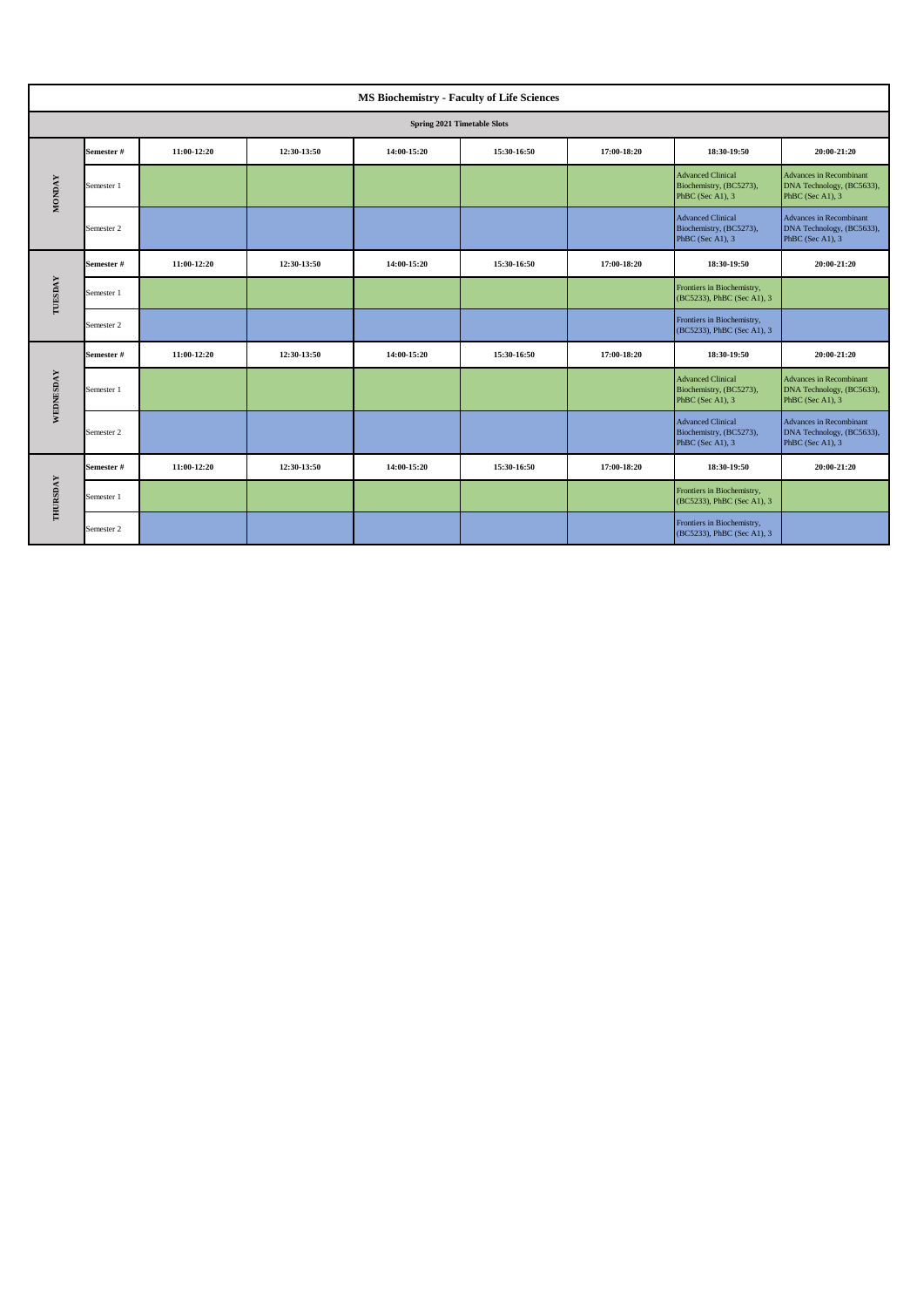| <b>MS Biochemistry - Faculty of Life Sciences</b> |            |             |             |             |             |             |                                                                         |                                                                                 |  |  |  |  |
|---------------------------------------------------|------------|-------------|-------------|-------------|-------------|-------------|-------------------------------------------------------------------------|---------------------------------------------------------------------------------|--|--|--|--|
| <b>Spring 2021 Timetable Slots</b>                |            |             |             |             |             |             |                                                                         |                                                                                 |  |  |  |  |
| <b>MONDAY</b>                                     | Semester#  | 11:00-12:20 | 12:30-13:50 | 14:00-15:20 | 15:30-16:50 | 17:00-18:20 | 18:30-19:50                                                             | 20:00-21:20                                                                     |  |  |  |  |
|                                                   | Semester 1 |             |             |             |             |             | <b>Advanced Clinical</b><br>Biochemistry, (BC5273),<br>PhBC (Sec A1), 3 | <b>Advances in Recombinant</b><br>DNA Technology, (BC5633),<br>PhBC (Sec A1), 3 |  |  |  |  |
|                                                   | Semester 2 |             |             |             |             |             | <b>Advanced Clinical</b><br>Biochemistry, (BC5273),<br>PhBC (Sec A1), 3 | Advances in Recombinant<br>DNA Technology, (BC5633),<br>PhBC (Sec A1), 3        |  |  |  |  |
| TUESDAY                                           | Semester#  | 11:00-12:20 | 12:30-13:50 | 14:00-15:20 | 15:30-16:50 | 17:00-18:20 | 18:30-19:50                                                             | 20:00-21:20                                                                     |  |  |  |  |
|                                                   | Semester 1 |             |             |             |             |             | Frontiers in Biochemistry,<br>(BC5233), PhBC (Sec A1), 3                |                                                                                 |  |  |  |  |
|                                                   | Semester 2 |             |             |             |             |             | Frontiers in Biochemistry,<br>(BC5233), PhBC (Sec A1), 3                |                                                                                 |  |  |  |  |
| WEDNESDAY                                         | Semester#  | 11:00-12:20 | 12:30-13:50 | 14:00-15:20 | 15:30-16:50 | 17:00-18:20 | 18:30-19:50                                                             | 20:00-21:20                                                                     |  |  |  |  |
|                                                   | Semester 1 |             |             |             |             |             | <b>Advanced Clinical</b><br>Biochemistry, (BC5273),<br>PhBC (Sec A1), 3 | <b>Advances in Recombinant</b><br>DNA Technology, (BC5633),<br>PhBC (Sec A1), 3 |  |  |  |  |
|                                                   | Semester 2 |             |             |             |             |             | <b>Advanced Clinical</b><br>Biochemistry, (BC5273),<br>PhBC (Sec A1), 3 | Advances in Recombinant<br>DNA Technology, (BC5633),<br>PhBC (Sec A1), 3        |  |  |  |  |
| THURSDAY                                          | Semester#  | 11:00-12:20 | 12:30-13:50 | 14:00-15:20 | 15:30-16:50 | 17:00-18:20 | 18:30-19:50                                                             | 20:00-21:20                                                                     |  |  |  |  |
|                                                   | Semester 1 |             |             |             |             |             | Frontiers in Biochemistry,<br>(BC5233), PhBC (Sec A1), 3                |                                                                                 |  |  |  |  |
|                                                   | Semester 2 |             |             |             |             |             | Frontiers in Biochemistry,<br>(BC5233), PhBC (Sec A1), 3                |                                                                                 |  |  |  |  |